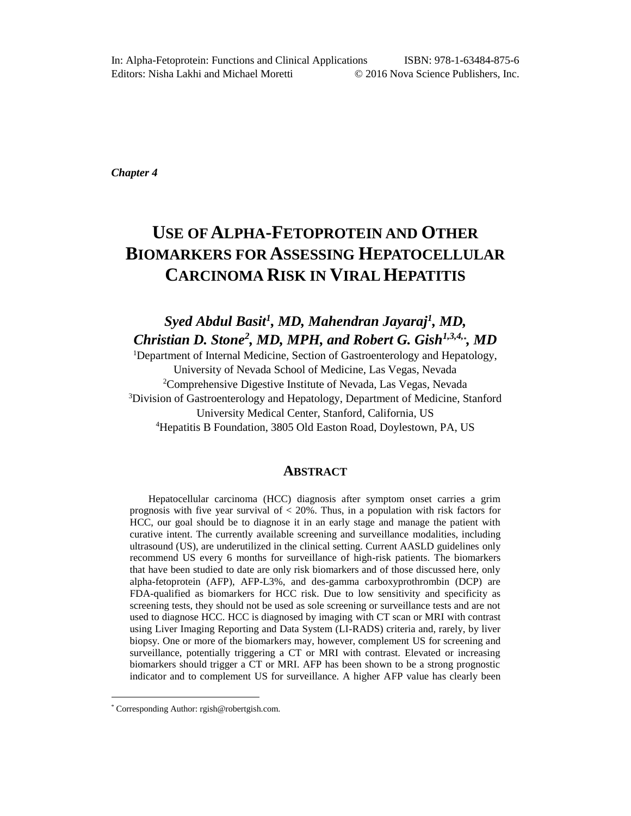*Chapter 4* 

# **USE OF ALPHA-FETOPROTEIN AND OTHER BIOMARKERS FOR ASSESSING HEPATOCELLULAR CARCINOMA RISK IN VIRAL HEPATITIS**

*Syed Abdul Basit<sup>1</sup> , MD, Mahendran Jayaraj<sup>1</sup> , MD, Christian D. Stone<sup>2</sup> , MD, MPH, and Robert G. Gish1,3,4,\* , MD* 

<sup>1</sup>Department of Internal Medicine, Section of Gastroenterology and Hepatology, University of Nevada School of Medicine, Las Vegas, Nevada <sup>2</sup>Comprehensive Digestive Institute of Nevada, Las Vegas, Nevada <sup>3</sup>Division of Gastroenterology and Hepatology, Department of Medicine, Stanford University Medical Center, Stanford, California, US <sup>4</sup>Hepatitis B Foundation, 3805 Old Easton Road, Doylestown, PA, US

# **ABSTRACT**

Hepatocellular carcinoma (HCC) diagnosis after symptom onset carries a grim prognosis with five year survival of  $< 20\%$ . Thus, in a population with risk factors for HCC, our goal should be to diagnose it in an early stage and manage the patient with curative intent. The currently available screening and surveillance modalities, including ultrasound (US), are underutilized in the clinical setting. Current AASLD guidelines only recommend US every 6 months for surveillance of high-risk patients. The biomarkers that have been studied to date are only risk biomarkers and of those discussed here, only alpha-fetoprotein (AFP), AFP-L3%, and des-gamma carboxyprothrombin (DCP) are FDA-qualified as biomarkers for HCC risk. Due to low sensitivity and specificity as screening tests, they should not be used as sole screening or surveillance tests and are not used to diagnose HCC. HCC is diagnosed by imaging with CT scan or MRI with contrast using Liver Imaging Reporting and Data System (LI-RADS) criteria and, rarely, by liver biopsy. One or more of the biomarkers may, however, complement US for screening and surveillance, potentially triggering a CT or MRI with contrast. Elevated or increasing biomarkers should trigger a CT or MRI. AFP has been shown to be a strong prognostic indicator and to complement US for surveillance. A higher AFP value has clearly been

 $\overline{a}$ 

<sup>\*</sup> Corresponding Author: rgish@robertgish.com.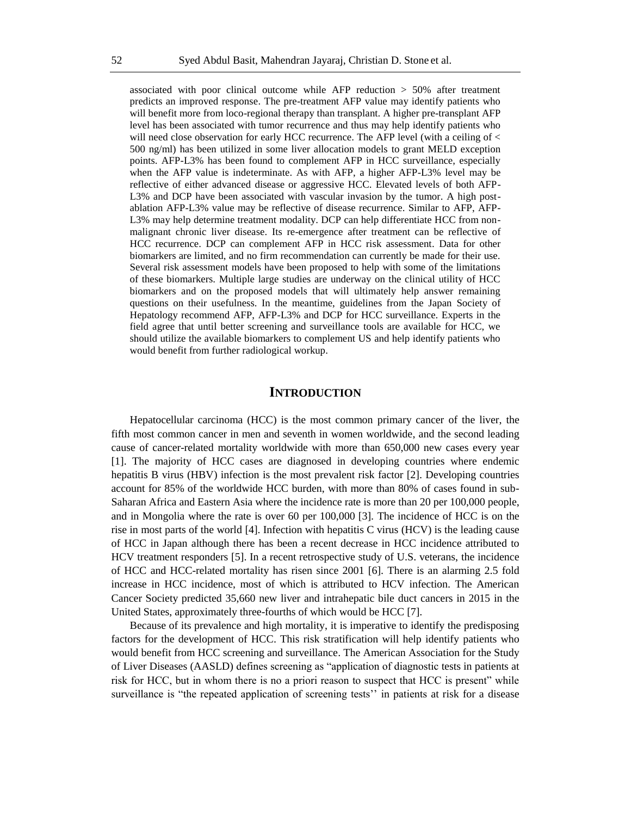associated with poor clinical outcome while AFP reduction > 50% after treatment predicts an improved response. The pre-treatment AFP value may identify patients who will benefit more from loco-regional therapy than transplant. A higher pre-transplant AFP level has been associated with tumor recurrence and thus may help identify patients who will need close observation for early HCC recurrence. The AFP level (with a ceiling of  $\lt$ 500 ng/ml) has been utilized in some liver allocation models to grant MELD exception points. AFP-L3% has been found to complement AFP in HCC surveillance, especially when the AFP value is indeterminate. As with AFP, a higher AFP-L3% level may be reflective of either advanced disease or aggressive HCC. Elevated levels of both AFP-L3% and DCP have been associated with vascular invasion by the tumor. A high postablation AFP-L3% value may be reflective of disease recurrence. Similar to AFP, AFP-L3% may help determine treatment modality. DCP can help differentiate HCC from nonmalignant chronic liver disease. Its re-emergence after treatment can be reflective of HCC recurrence. DCP can complement AFP in HCC risk assessment. Data for other biomarkers are limited, and no firm recommendation can currently be made for their use. Several risk assessment models have been proposed to help with some of the limitations of these biomarkers. Multiple large studies are underway on the clinical utility of HCC biomarkers and on the proposed models that will ultimately help answer remaining questions on their usefulness. In the meantime, guidelines from the Japan Society of Hepatology recommend AFP, AFP-L3% and DCP for HCC surveillance. Experts in the field agree that until better screening and surveillance tools are available for HCC, we should utilize the available biomarkers to complement US and help identify patients who would benefit from further radiological workup.

# **INTRODUCTION**

Hepatocellular carcinoma (HCC) is the most common primary cancer of the liver, the fifth most common cancer in men and seventh in women worldwide, and the second leading cause of cancer-related mortality worldwide with more than 650,000 new cases every year [1]. The majority of HCC cases are diagnosed in developing countries where endemic hepatitis B virus (HBV) infection is the most prevalent risk factor [2]. Developing countries account for 85% of the worldwide HCC burden, with more than 80% of cases found in sub-Saharan Africa and Eastern Asia where the incidence rate is more than 20 per 100,000 people, and in Mongolia where the rate is over 60 per 100,000 [3]. The incidence of HCC is on the rise in most parts of the world [4]. Infection with hepatitis C virus (HCV) is the leading cause of HCC in Japan although there has been a recent decrease in HCC incidence attributed to HCV treatment responders [5]. In a recent retrospective study of U.S. veterans, the incidence of HCC and HCC-related mortality has risen since 2001 [6]. There is an alarming 2.5 fold increase in HCC incidence, most of which is attributed to HCV infection. The American Cancer Society predicted 35,660 new liver and intrahepatic bile duct cancers in 2015 in the United States, approximately three-fourths of which would be HCC [7].

Because of its prevalence and high mortality, it is imperative to identify the predisposing factors for the development of HCC. This risk stratification will help identify patients who would benefit from HCC screening and surveillance. The American Association for the Study of Liver Diseases (AASLD) defines screening as "application of diagnostic tests in patients at risk for HCC, but in whom there is no a priori reason to suspect that HCC is present" while surveillance is "the repeated application of screening tests'' in patients at risk for a disease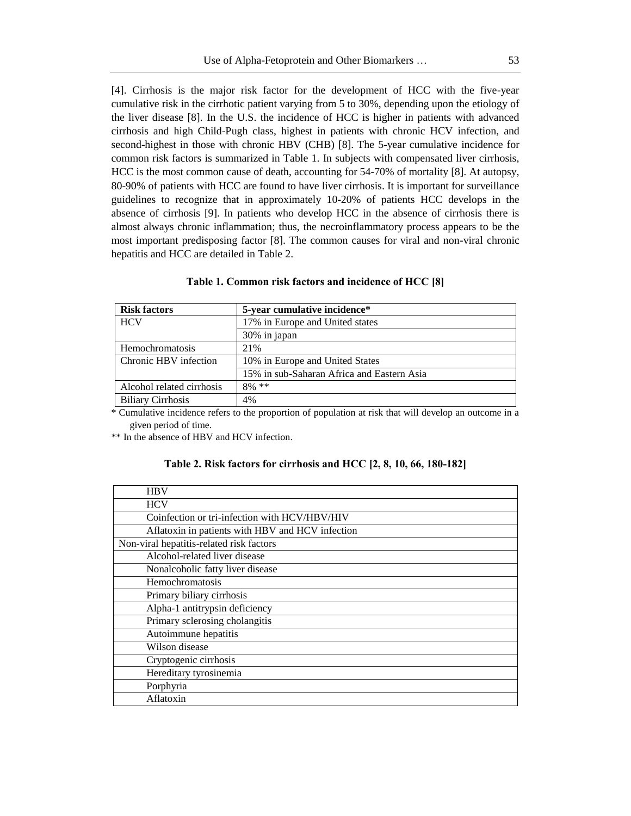[4]. Cirrhosis is the major risk factor for the development of HCC with the five-year cumulative risk in the cirrhotic patient varying from 5 to 30%, depending upon the etiology of the liver disease [8]. In the U.S. the incidence of HCC is higher in patients with advanced cirrhosis and high Child-Pugh class, highest in patients with chronic HCV infection, and second-highest in those with chronic HBV (CHB) [8]. The 5-year cumulative incidence for common risk factors is summarized in Table 1. In subjects with compensated liver cirrhosis, HCC is the most common cause of death, accounting for 54-70% of mortality [8]. At autopsy, 80-90% of patients with HCC are found to have liver cirrhosis. It is important for surveillance guidelines to recognize that in approximately 10-20% of patients HCC develops in the absence of cirrhosis [9]. In patients who develop HCC in the absence of cirrhosis there is almost always chronic inflammation; thus, the necroinflammatory process appears to be the most important predisposing factor [8]. The common causes for viral and non-viral chronic hepatitis and HCC are detailed in Table 2.

| <b>Risk factors</b>       | 5-year cumulative incidence*               |  |
|---------------------------|--------------------------------------------|--|
| <b>HCV</b>                | 17% in Europe and United states            |  |
|                           | 30% in japan                               |  |
| Hemochromatosis           | 21\%                                       |  |
| Chronic HBV infection     | 10% in Europe and United States            |  |
|                           | 15% in sub-Saharan Africa and Eastern Asia |  |
| Alcohol related cirrhosis | $8\%$ **                                   |  |
| <b>Biliary Cirrhosis</b>  | 4%                                         |  |

#### **Table 1. Common risk factors and incidence of HCC [8]**

\* Cumulative incidence refers to the proportion of population at risk that will develop an outcome in a given period of time.

\*\* In the absence of HBV and HCV infection.

# **Table 2. Risk factors for cirrhosis and HCC [2, 8, 10, 66, 180-182]**

| <b>HBV</b>                                       |
|--------------------------------------------------|
| <b>HCV</b>                                       |
| Coinfection or tri-infection with HCV/HBV/HIV    |
| Aflatoxin in patients with HBV and HCV infection |
| Non-viral hepatitis-related risk factors         |
| Alcohol-related liver disease                    |
| Nonalcoholic fatty liver disease                 |
| Hemochromatosis                                  |
| Primary biliary cirrhosis                        |
| Alpha-1 antitrypsin deficiency                   |
| Primary sclerosing cholangitis                   |
| Autoimmune hepatitis                             |
| Wilson disease                                   |
| Cryptogenic cirrhosis                            |
| Hereditary tyrosinemia                           |
| Porphyria                                        |
| Aflatoxin                                        |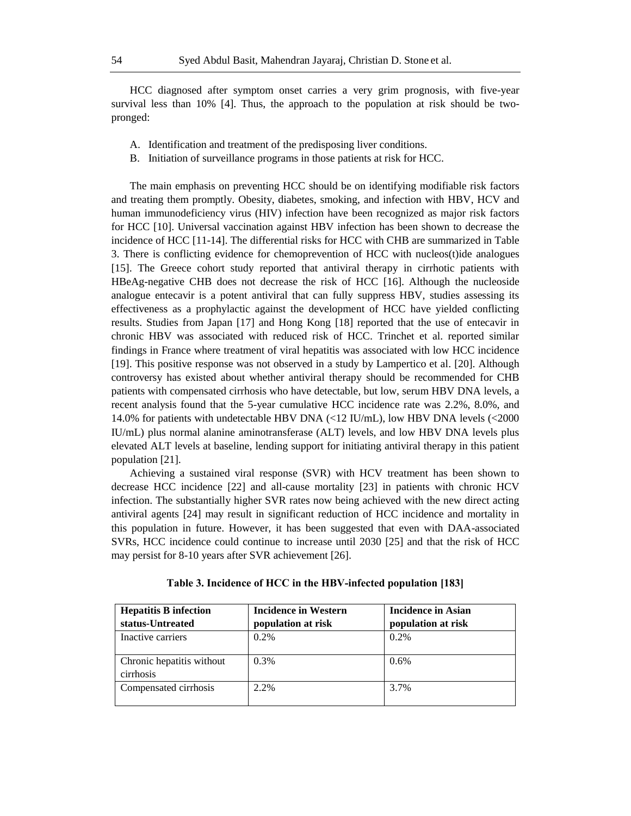HCC diagnosed after symptom onset carries a very grim prognosis, with five-year survival less than 10% [4]. Thus, the approach to the population at risk should be twopronged:

- A. Identification and treatment of the predisposing liver conditions.
- B. Initiation of surveillance programs in those patients at risk for HCC.

The main emphasis on preventing HCC should be on identifying modifiable risk factors and treating them promptly. Obesity, diabetes, smoking, and infection with HBV, HCV and human immunodeficiency virus (HIV) infection have been recognized as major risk factors for HCC [10]. Universal vaccination against HBV infection has been shown to decrease the incidence of HCC [11-14]. The differential risks for HCC with CHB are summarized in Table 3. There is conflicting evidence for chemoprevention of HCC with nucleos(t)ide analogues [15]. The Greece cohort study reported that antiviral therapy in cirrhotic patients with HBeAg-negative CHB does not decrease the risk of HCC [16]. Although the nucleoside analogue entecavir is a potent antiviral that can fully suppress HBV, studies assessing its effectiveness as a prophylactic against the development of HCC have yielded conflicting results. Studies from Japan [17] and Hong Kong [18] reported that the use of entecavir in chronic HBV was associated with reduced risk of HCC. Trinchet et al. reported similar findings in France where treatment of viral hepatitis was associated with low HCC incidence [19]. This positive response was not observed in a study by Lampertico et al. [20]. Although controversy has existed about whether antiviral therapy should be recommended for CHB patients with compensated cirrhosis who have detectable, but low, serum HBV DNA levels, a recent analysis found that the 5-year cumulative HCC incidence rate was 2.2%, 8.0%, and 14.0% for patients with undetectable HBV DNA (<12 IU/mL), low HBV DNA levels (<2000 IU/mL) plus normal alanine aminotransferase (ALT) levels, and low HBV DNA levels plus elevated ALT levels at baseline, lending support for initiating antiviral therapy in this patient population [21].

Achieving a sustained viral response (SVR) with HCV treatment has been shown to decrease HCC incidence [22] and all-cause mortality [23] in patients with chronic HCV infection. The substantially higher SVR rates now being achieved with the new direct acting antiviral agents [24] may result in significant reduction of HCC incidence and mortality in this population in future. However, it has been suggested that even with DAA-associated SVRs, HCC incidence could continue to increase until 2030 [25] and that the risk of HCC may persist for 8-10 years after SVR achievement [26].

| <b>Hepatitis B infection</b>           | <b>Incidence in Western</b> | <b>Incidence in Asian</b> |  |
|----------------------------------------|-----------------------------|---------------------------|--|
| status-Untreated                       | population at risk          | population at risk        |  |
| Inactive carriers                      | $0.2\%$                     | $0.2\%$                   |  |
| Chronic hepatitis without<br>cirrhosis | 0.3%                        | 0.6%                      |  |
| Compensated cirrhosis                  | 2.2%                        | 3.7%                      |  |

**Table 3. Incidence of HCC in the HBV-infected population [183]**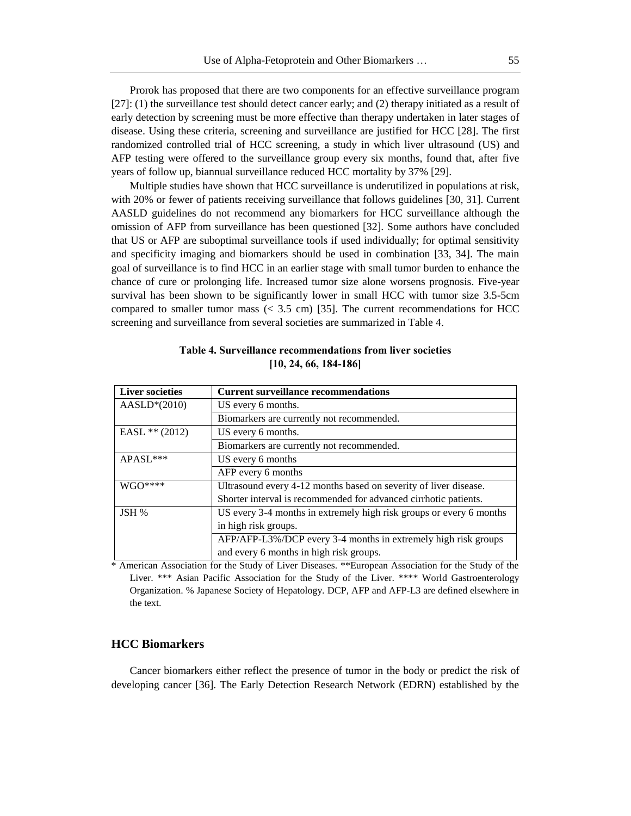Prorok has proposed that there are two components for an effective surveillance program [27]: (1) the surveillance test should detect cancer early; and (2) therapy initiated as a result of early detection by screening must be more effective than therapy undertaken in later stages of disease. Using these criteria, screening and surveillance are justified for HCC [28]. The first randomized controlled trial of HCC screening, a study in which liver ultrasound (US) and AFP testing were offered to the surveillance group every six months, found that, after five years of follow up, biannual surveillance reduced HCC mortality by 37% [29].

Multiple studies have shown that HCC surveillance is underutilized in populations at risk, with 20% or fewer of patients receiving surveillance that follows guidelines [30, 31]. Current AASLD guidelines do not recommend any biomarkers for HCC surveillance although the omission of AFP from surveillance has been questioned [32]. Some authors have concluded that US or AFP are suboptimal surveillance tools if used individually; for optimal sensitivity and specificity imaging and biomarkers should be used in combination [33, 34]. The main goal of surveillance is to find HCC in an earlier stage with small tumor burden to enhance the chance of cure or prolonging life. Increased tumor size alone worsens prognosis. Five-year survival has been shown to be significantly lower in small HCC with tumor size 3.5-5cm compared to smaller tumor mass  $( $3.5 \text{ cm}$ )$  [35]. The current recommendations for HCC screening and surveillance from several societies are summarized in Table 4.

| <b>Liver societies</b> | <b>Current surveillance recommendations</b>                         |
|------------------------|---------------------------------------------------------------------|
| $AASLD*(2010)$         | US every 6 months.                                                  |
|                        | Biomarkers are currently not recommended.                           |
| EASL $** (2012)$       | US every 6 months.                                                  |
|                        | Biomarkers are currently not recommended.                           |
| APASL***               | US every 6 months                                                   |
|                        | AFP every 6 months                                                  |
| $WGO***$               | Ultrasound every 4-12 months based on severity of liver disease.    |
|                        | Shorter interval is recommended for advanced cirrhotic patients.    |
| JSH %                  | US every 3-4 months in extremely high risk groups or every 6 months |
|                        | in high risk groups.                                                |
|                        | AFP/AFP-L3%/DCP every 3-4 months in extremely high risk groups      |
|                        | and every 6 months in high risk groups.                             |

**Table 4. Surveillance recommendations from liver societies [10, 24, 66, 184-186]** 

\* American Association for the Study of Liver Diseases. \*\*European Association for the Study of the Liver. \*\*\* Asian Pacific Association for the Study of the Liver. \*\*\*\* World Gastroenterology Organization. % Japanese Society of Hepatology. DCP, AFP and AFP-L3 are defined elsewhere in the text.

### **HCC Biomarkers**

Cancer biomarkers either reflect the presence of tumor in the body or predict the risk of developing cancer [36]. The Early Detection Research Network (EDRN) established by the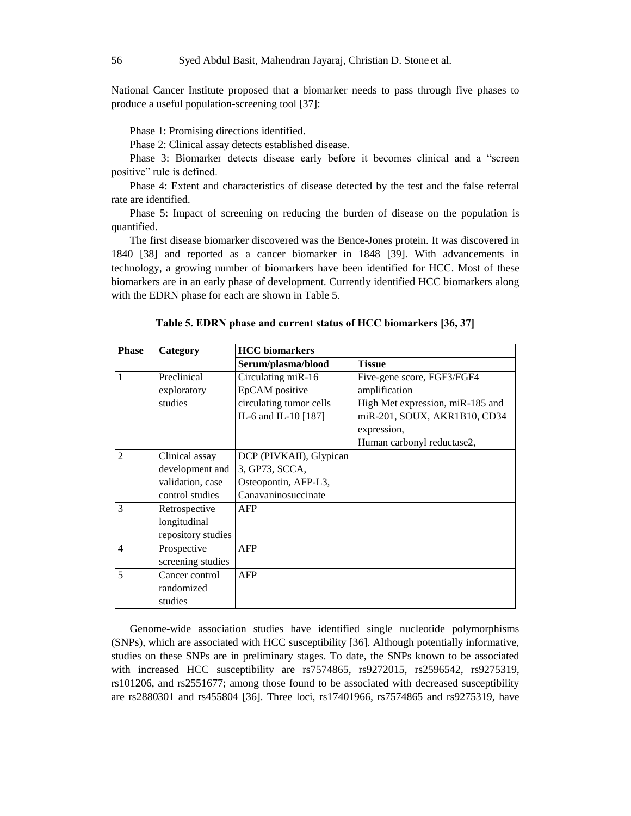National Cancer Institute proposed that a biomarker needs to pass through five phases to produce a useful population-screening tool [37]:

Phase 1: Promising directions identified.

Phase 2: Clinical assay detects established disease.

Phase 3: Biomarker detects disease early before it becomes clinical and a "screen positive" rule is defined.

Phase 4: Extent and characteristics of disease detected by the test and the false referral rate are identified.

Phase 5: Impact of screening on reducing the burden of disease on the population is quantified.

The first disease biomarker discovered was the Bence-Jones protein. It was discovered in 1840 [38] and reported as a cancer biomarker in 1848 [39]. With advancements in technology, a growing number of biomarkers have been identified for HCC. Most of these biomarkers are in an early phase of development. Currently identified HCC biomarkers along with the EDRN phase for each are shown in Table 5.

| <b>Phase</b>   | Category           | <b>HCC</b> biomarkers   |                                  |  |
|----------------|--------------------|-------------------------|----------------------------------|--|
|                |                    | Serum/plasma/blood      | <b>Tissue</b>                    |  |
| 1              | Preclinical        | Circulating miR-16      | Five-gene score, FGF3/FGF4       |  |
|                | exploratory        | EpCAM positive          | amplification                    |  |
|                | studies            | circulating tumor cells | High Met expression, miR-185 and |  |
|                |                    | IL-6 and IL-10 [187]    | miR-201, SOUX, AKR1B10, CD34     |  |
|                |                    |                         | expression,                      |  |
|                |                    |                         | Human carbonyl reductase2,       |  |
| $\overline{2}$ | Clinical assay     | DCP (PIVKAII), Glypican |                                  |  |
|                | development and    | 3, GP73, SCCA,          |                                  |  |
|                | validation, case   | Osteopontin, AFP-L3,    |                                  |  |
|                | control studies    | Canavaninosuccinate     |                                  |  |
| 3              | Retrospective      | AFP                     |                                  |  |
|                | longitudinal       |                         |                                  |  |
|                | repository studies |                         |                                  |  |
| $\overline{4}$ | Prospective        | AFP                     |                                  |  |
|                | screening studies  |                         |                                  |  |
| 5              | Cancer control     | AFP                     |                                  |  |
|                | randomized         |                         |                                  |  |
|                | studies            |                         |                                  |  |

**Table 5. EDRN phase and current status of HCC biomarkers [36, 37]** 

Genome-wide association studies have identified single nucleotide polymorphisms (SNPs), which are associated with HCC susceptibility [36]. Although potentially informative, studies on these SNPs are in preliminary stages. To date, the SNPs known to be associated with increased HCC susceptibility are rs7574865, rs9272015, rs2596542, rs9275319, rs101206, and rs2551677; among those found to be associated with decreased susceptibility are rs2880301 and rs455804 [36]. Three loci, rs17401966, rs7574865 and rs9275319, have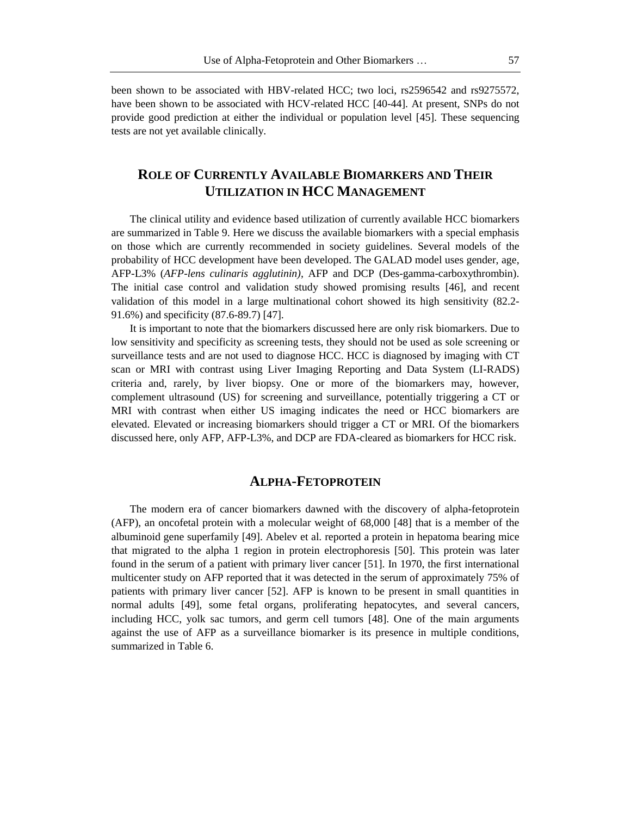been shown to be associated with HBV-related HCC; two loci, rs2596542 and rs9275572, have been shown to be associated with HCV-related HCC [40-44]. At present, SNPs do not provide good prediction at either the individual or population level [45]. These sequencing tests are not yet available clinically.

# **ROLE OF CURRENTLY AVAILABLE BIOMARKERS AND THEIR UTILIZATION IN HCC MANAGEMENT**

The clinical utility and evidence based utilization of currently available HCC biomarkers are summarized in Table 9. Here we discuss the available biomarkers with a special emphasis on those which are currently recommended in society guidelines. Several models of the probability of HCC development have been developed. The GALAD model uses gender, age, AFP-L3% (*AFP-lens culinaris agglutinin),* AFP and DCP (Des-gamma-carboxythrombin). The initial case control and validation study showed promising results [46], and recent validation of this model in a large multinational cohort showed its high sensitivity (82.2- 91.6%) and specificity (87.6-89.7) [47].

It is important to note that the biomarkers discussed here are only risk biomarkers. Due to low sensitivity and specificity as screening tests, they should not be used as sole screening or surveillance tests and are not used to diagnose HCC. HCC is diagnosed by imaging with CT scan or MRI with contrast using Liver Imaging Reporting and Data System (LI-RADS) criteria and, rarely, by liver biopsy. One or more of the biomarkers may, however, complement ultrasound (US) for screening and surveillance, potentially triggering a CT or MRI with contrast when either US imaging indicates the need or HCC biomarkers are elevated. Elevated or increasing biomarkers should trigger a CT or MRI. Of the biomarkers discussed here, only AFP, AFP-L3%, and DCP are FDA-cleared as biomarkers for HCC risk.

# **ALPHA-FETOPROTEIN**

The modern era of cancer biomarkers dawned with the discovery of alpha-fetoprotein (AFP), an oncofetal protein with a molecular weight of 68,000 [48] that is a member of the albuminoid gene superfamily [49]. Abelev et al. reported a protein in hepatoma bearing mice that migrated to the alpha 1 region in protein electrophoresis [50]. This protein was later found in the serum of a patient with primary liver cancer [51]. In 1970, the first international multicenter study on AFP reported that it was detected in the serum of approximately 75% of patients with primary liver cancer [52]. AFP is known to be present in small quantities in normal adults [49], some fetal organs, proliferating hepatocytes, and several cancers, including HCC, yolk sac tumors, and germ cell tumors [48]. One of the main arguments against the use of AFP as a surveillance biomarker is its presence in multiple conditions, summarized in Table 6.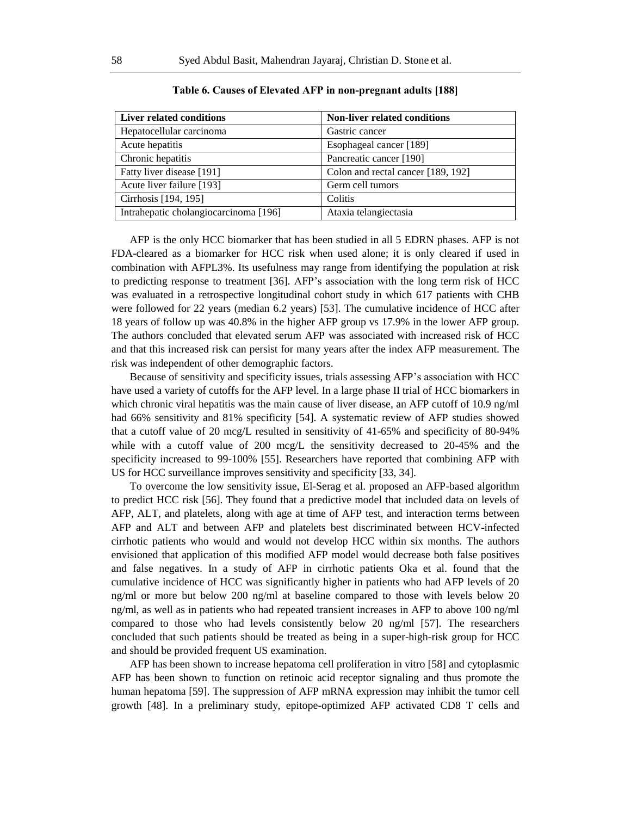| Liver related conditions              | <b>Non-liver related conditions</b> |
|---------------------------------------|-------------------------------------|
| Hepatocellular carcinoma              | Gastric cancer                      |
| Acute hepatitis                       | Esophageal cancer [189]             |
| Chronic hepatitis                     | Pancreatic cancer [190]             |
| Fatty liver disease [191]             | Colon and rectal cancer [189, 192]  |
| Acute liver failure [193]             | Germ cell tumors                    |
| Cirrhosis [194, 195]                  | Colitis                             |
| Intrahepatic cholangiocarcinoma [196] | Ataxia telangiectasia               |

**Table 6. Causes of Elevated AFP in non-pregnant adults [188]**

AFP is the only HCC biomarker that has been studied in all 5 EDRN phases. AFP is not FDA-cleared as a biomarker for HCC risk when used alone; it is only cleared if used in combination with AFPL3%. Its usefulness may range from identifying the population at risk to predicting response to treatment [36]. AFP's association with the long term risk of HCC was evaluated in a retrospective longitudinal cohort study in which 617 patients with CHB were followed for 22 years (median 6.2 years) [53]. The cumulative incidence of HCC after 18 years of follow up was 40.8% in the higher AFP group vs 17.9% in the lower AFP group. The authors concluded that elevated serum AFP was associated with increased risk of HCC and that this increased risk can persist for many years after the index AFP measurement. The risk was independent of other demographic factors.

Because of sensitivity and specificity issues, trials assessing AFP's association with HCC have used a variety of cutoffs for the AFP level. In a large phase II trial of HCC biomarkers in which chronic viral hepatitis was the main cause of liver disease, an AFP cutoff of 10.9 ng/ml had 66% sensitivity and 81% specificity [54]. A systematic review of AFP studies showed that a cutoff value of 20 mcg/L resulted in sensitivity of 41-65% and specificity of 80-94% while with a cutoff value of 200 mcg/L the sensitivity decreased to 20-45% and the specificity increased to 99-100% [55]. Researchers have reported that combining AFP with US for HCC surveillance improves sensitivity and specificity [33, 34].

To overcome the low sensitivity issue, El-Serag et al. proposed an AFP-based algorithm to predict HCC risk [56]. They found that a predictive model that included data on levels of AFP, ALT, and platelets, along with age at time of AFP test, and interaction terms between AFP and ALT and between AFP and platelets best discriminated between HCV-infected cirrhotic patients who would and would not develop HCC within six months. The authors envisioned that application of this modified AFP model would decrease both false positives and false negatives. In a study of AFP in cirrhotic patients Oka et al. found that the cumulative incidence of HCC was significantly higher in patients who had AFP levels of 20 ng/ml or more but below 200 ng/ml at baseline compared to those with levels below 20 ng/ml, as well as in patients who had repeated transient increases in AFP to above 100 ng/ml compared to those who had levels consistently below 20 ng/ml [57]. The researchers concluded that such patients should be treated as being in a super-high-risk group for HCC and should be provided frequent US examination.

AFP has been shown to increase hepatoma cell proliferation in vitro [58] and cytoplasmic AFP has been shown to function on retinoic acid receptor signaling and thus promote the human hepatoma [59]. The suppression of AFP mRNA expression may inhibit the tumor cell growth [48]. In a preliminary study, epitope-optimized AFP activated CD8 T cells and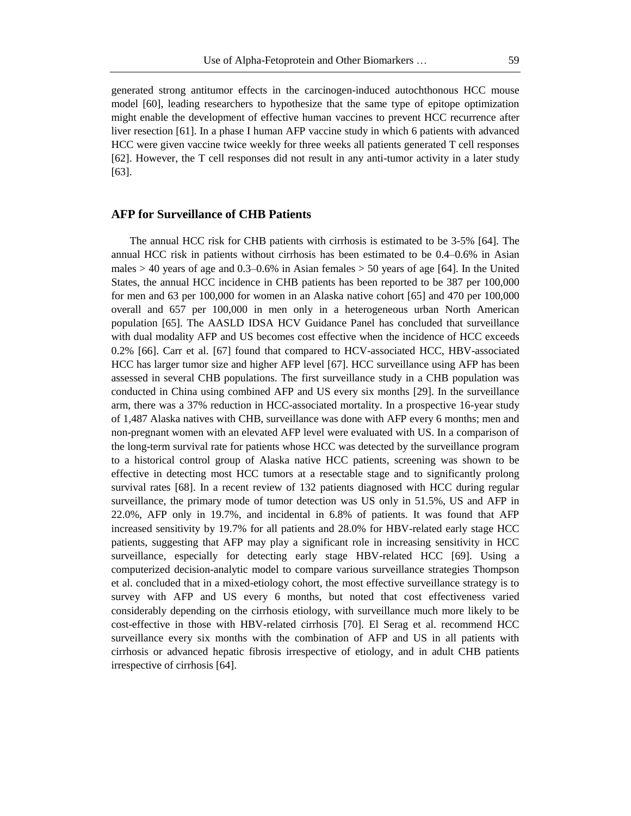generated strong antitumor effects in the carcinogen-induced autochthonous HCC mouse model [60], leading researchers to hypothesize that the same type of epitope optimization might enable the development of effective human vaccines to prevent HCC recurrence after liver resection [61]. In a phase I human AFP vaccine study in which 6 patients with advanced HCC were given vaccine twice weekly for three weeks all patients generated T cell responses [62]. However, the T cell responses did not result in any anti-tumor activity in a later study [63].

# **AFP for Surveillance of CHB Patients**

The annual HCC risk for CHB patients with cirrhosis is estimated to be 3-5% [64]. The annual HCC risk in patients without cirrhosis has been estimated to be 0.4–0.6% in Asian males  $> 40$  years of age and 0.3–0.6% in Asian females  $> 50$  years of age [64]. In the United States, the annual HCC incidence in CHB patients has been reported to be 387 per 100,000 for men and 63 per 100,000 for women in an Alaska native cohort [65] and 470 per 100,000 overall and 657 per 100,000 in men only in a heterogeneous urban North American population [65]. The AASLD IDSA HCV Guidance Panel has concluded that surveillance with dual modality AFP and US becomes cost effective when the incidence of HCC exceeds 0.2% [66]. Carr et al. [67] found that compared to HCV-associated HCC, HBV-associated HCC has larger tumor size and higher AFP level [67]. HCC surveillance using AFP has been assessed in several CHB populations. The first surveillance study in a CHB population was conducted in China using combined AFP and US every six months [29]. In the surveillance arm, there was a 37% reduction in HCC-associated mortality. In a prospective 16-year study of 1,487 Alaska natives with CHB, surveillance was done with AFP every 6 months; men and non-pregnant women with an elevated AFP level were evaluated with US. In a comparison of the long-term survival rate for patients whose HCC was detected by the surveillance program to a historical control group of Alaska native HCC patients, screening was shown to be effective in detecting most HCC tumors at a resectable stage and to significantly prolong survival rates [68]. In a recent review of 132 patients diagnosed with HCC during regular surveillance, the primary mode of tumor detection was US only in 51.5%, US and AFP in 22.0%, AFP only in 19.7%, and incidental in 6.8% of patients. It was found that AFP increased sensitivity by 19.7% for all patients and 28.0% for HBV-related early stage HCC patients, suggesting that AFP may play a significant role in increasing sensitivity in HCC surveillance, especially for detecting early stage HBV-related HCC [69]. Using a computerized decision-analytic model to compare various surveillance strategies Thompson et al. concluded that in a mixed-etiology cohort, the most effective surveillance strategy is to survey with AFP and US every 6 months, but noted that cost effectiveness varied considerably depending on the cirrhosis etiology, with surveillance much more likely to be cost-effective in those with HBV-related cirrhosis [70]. El Serag et al. recommend HCC surveillance every six months with the combination of AFP and US in all patients with cirrhosis or advanced hepatic fibrosis irrespective of etiology, and in adult CHB patients irrespective of cirrhosis [64].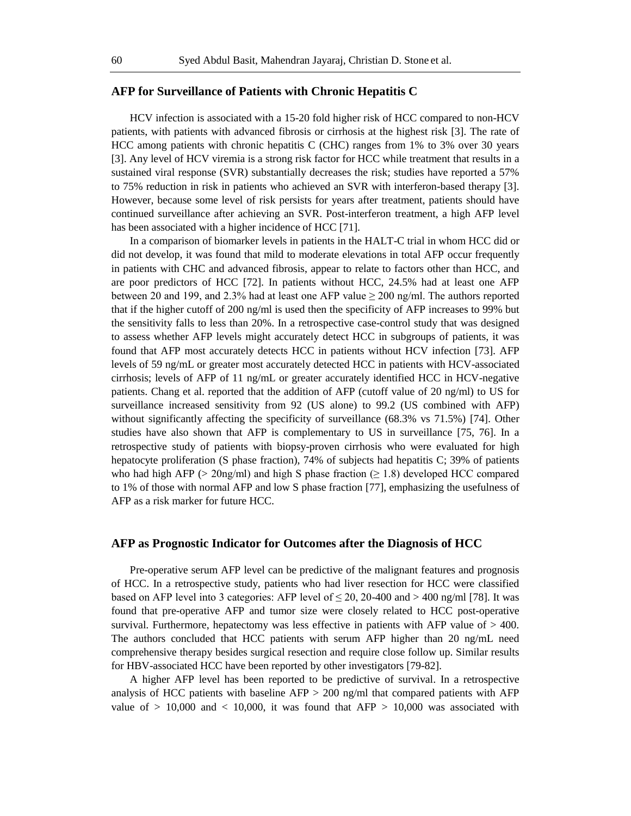### **AFP for Surveillance of Patients with Chronic Hepatitis C**

HCV infection is associated with a 15-20 fold higher risk of HCC compared to non-HCV patients, with patients with advanced fibrosis or cirrhosis at the highest risk [3]. The rate of HCC among patients with chronic hepatitis C (CHC) ranges from 1% to 3% over 30 years [3]. Any level of HCV viremia is a strong risk factor for HCC while treatment that results in a sustained viral response (SVR) substantially decreases the risk; studies have reported a 57% to 75% reduction in risk in patients who achieved an SVR with interferon-based therapy [3]. However, because some level of risk persists for years after treatment, patients should have continued surveillance after achieving an SVR. Post-interferon treatment, a high AFP level has been associated with a higher incidence of HCC [71].

In a comparison of biomarker levels in patients in the HALT-C trial in whom HCC did or did not develop, it was found that mild to moderate elevations in total AFP occur frequently in patients with CHC and advanced fibrosis, appear to relate to factors other than HCC, and are poor predictors of HCC [72]. In patients without HCC, 24.5% had at least one AFP between 20 and 199, and 2.3% had at least one AFP value  $\geq$  200 ng/ml. The authors reported that if the higher cutoff of 200 ng/ml is used then the specificity of AFP increases to 99% but the sensitivity falls to less than 20%. In a retrospective case-control study that was designed to assess whether AFP levels might accurately detect HCC in subgroups of patients, it was found that AFP most accurately detects HCC in patients without HCV infection [73]. AFP levels of 59 ng/mL or greater most accurately detected HCC in patients with HCV-associated cirrhosis; levels of AFP of 11 ng/mL or greater accurately identified HCC in HCV-negative patients. Chang et al. reported that the addition of AFP (cutoff value of 20 ng/ml) to US for surveillance increased sensitivity from 92 (US alone) to 99.2 (US combined with AFP) without significantly affecting the specificity of surveillance (68.3% vs 71.5%) [74]. Other studies have also shown that AFP is complementary to US in surveillance [75, 76]. In a retrospective study of patients with biopsy-proven cirrhosis who were evaluated for high hepatocyte proliferation (S phase fraction), 74% of subjects had hepatitis C; 39% of patients who had high AFP (> 20ng/ml) and high S phase fraction ( $\geq$  1.8) developed HCC compared to 1% of those with normal AFP and low S phase fraction [77], emphasizing the usefulness of AFP as a risk marker for future HCC.

#### **AFP as Prognostic Indicator for Outcomes after the Diagnosis of HCC**

Pre-operative serum AFP level can be predictive of the malignant features and prognosis of HCC. In a retrospective study, patients who had liver resection for HCC were classified based on AFP level into 3 categories: AFP level of  $\leq 20$ , 20-400 and  $> 400$  ng/ml [78]. It was found that pre-operative AFP and tumor size were closely related to HCC post-operative survival. Furthermore, hepatectomy was less effective in patients with AFP value of  $> 400$ . The authors concluded that HCC patients with serum AFP higher than 20 ng/mL need comprehensive therapy besides surgical resection and require close follow up. Similar results for HBV-associated HCC have been reported by other investigators [79-82].

A higher AFP level has been reported to be predictive of survival. In a retrospective analysis of HCC patients with baseline  $AFP > 200$  ng/ml that compared patients with  $AFP$ value of  $> 10,000$  and  $< 10,000$ , it was found that AFP  $> 10,000$  was associated with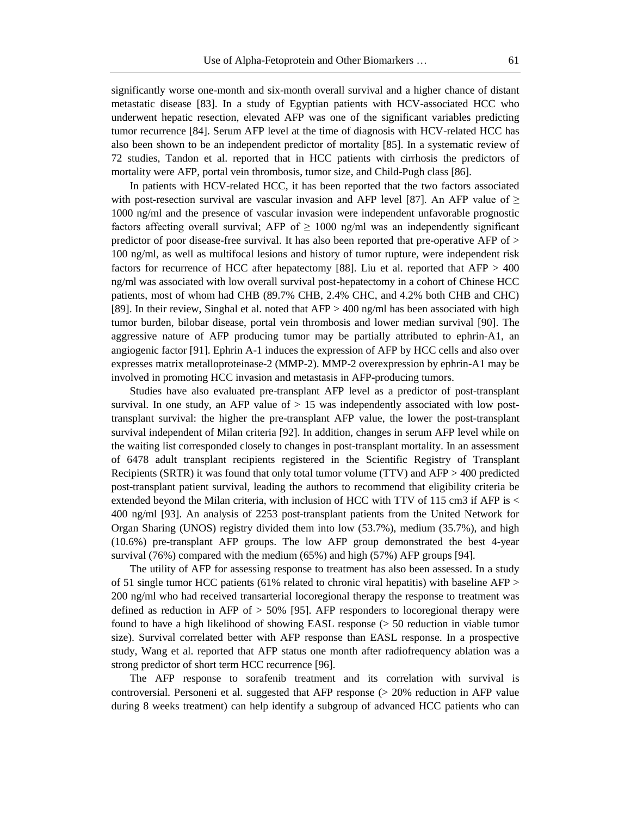significantly worse one-month and six-month overall survival and a higher chance of distant metastatic disease [83]. In a study of Egyptian patients with HCV-associated HCC who underwent hepatic resection, elevated AFP was one of the significant variables predicting tumor recurrence [84]. Serum AFP level at the time of diagnosis with HCV-related HCC has also been shown to be an independent predictor of mortality [85]. In a systematic review of 72 studies, Tandon et al. reported that in HCC patients with cirrhosis the predictors of mortality were AFP, portal vein thrombosis, tumor size, and Child-Pugh class [86].

In patients with HCV-related HCC, it has been reported that the two factors associated with post-resection survival are vascular invasion and AFP level [87]. An AFP value of  $\geq$ 1000 ng/ml and the presence of vascular invasion were independent unfavorable prognostic factors affecting overall survival; AFP of  $\geq 1000$  ng/ml was an independently significant predictor of poor disease-free survival. It has also been reported that pre-operative AFP of > 100 ng/ml, as well as multifocal lesions and history of tumor rupture, were independent risk factors for recurrence of HCC after hepatectomy [88]. Liu et al. reported that AFP > 400 ng/ml was associated with low overall survival post-hepatectomy in a cohort of Chinese HCC patients, most of whom had CHB (89.7% CHB, 2.4% CHC, and 4.2% both CHB and CHC) [89]. In their review, Singhal et al. noted that AFP > 400 ng/ml has been associated with high tumor burden, bilobar disease, portal vein thrombosis and lower median survival [90]. The aggressive nature of AFP producing tumor may be partially attributed to ephrin-A1, an angiogenic factor [91]. Ephrin A-1 induces the expression of AFP by HCC cells and also over expresses matrix metalloproteinase-2 (MMP-2). MMP-2 overexpression by ephrin-A1 may be involved in promoting HCC invasion and metastasis in AFP-producing tumors.

Studies have also evaluated pre-transplant AFP level as a predictor of post-transplant survival. In one study, an AFP value of  $> 15$  was independently associated with low posttransplant survival: the higher the pre-transplant AFP value, the lower the post-transplant survival independent of Milan criteria [92]. In addition, changes in serum AFP level while on the waiting list corresponded closely to changes in post-transplant mortality. In an assessment of 6478 adult transplant recipients registered in the Scientific Registry of Transplant Recipients (SRTR) it was found that only total tumor volume (TTV) and AFP > 400 predicted post-transplant patient survival, leading the authors to recommend that eligibility criteria be extended beyond the Milan criteria, with inclusion of HCC with TTV of 115 cm3 if AFP is < 400 ng/ml [93]. An analysis of 2253 post-transplant patients from the United Network for Organ Sharing (UNOS) registry divided them into low (53.7%), medium (35.7%), and high (10.6%) pre-transplant AFP groups. The low AFP group demonstrated the best 4-year survival (76%) compared with the medium (65%) and high (57%) AFP groups [94].

The utility of AFP for assessing response to treatment has also been assessed. In a study of 51 single tumor HCC patients (61% related to chronic viral hepatitis) with baseline AFP > 200 ng/ml who had received transarterial locoregional therapy the response to treatment was defined as reduction in AFP of  $>$  50% [95]. AFP responders to locoregional therapy were found to have a high likelihood of showing EASL response (> 50 reduction in viable tumor size). Survival correlated better with AFP response than EASL response. In a prospective study, Wang et al. reported that AFP status one month after radiofrequency ablation was a strong predictor of short term HCC recurrence [96].

The AFP response to sorafenib treatment and its correlation with survival is controversial. Personeni et al. suggested that AFP response (> 20% reduction in AFP value during 8 weeks treatment) can help identify a subgroup of advanced HCC patients who can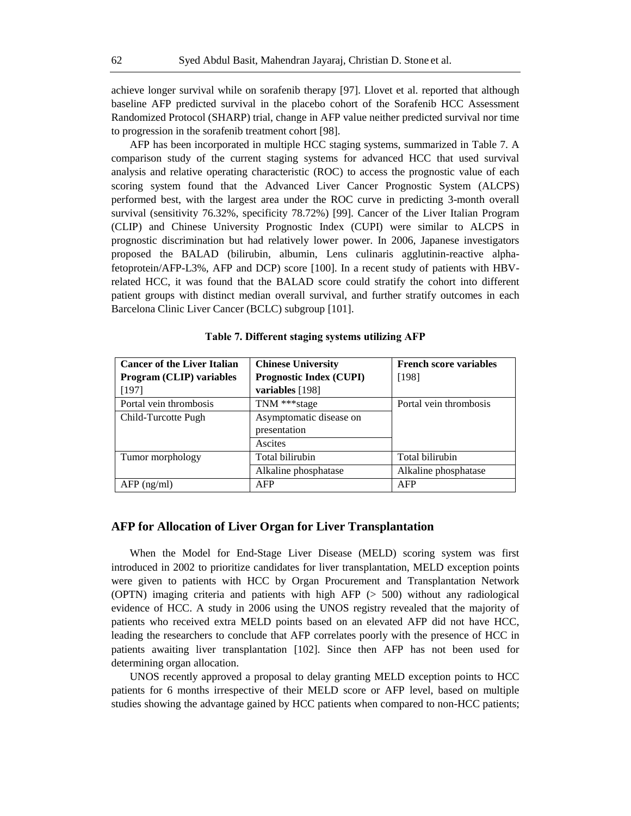achieve longer survival while on sorafenib therapy [97]. Llovet et al. reported that although baseline AFP predicted survival in the placebo cohort of the Sorafenib HCC Assessment Randomized Protocol (SHARP) trial, change in AFP value neither predicted survival nor time to progression in the sorafenib treatment cohort [98].

AFP has been incorporated in multiple HCC staging systems, summarized in Table 7. A comparison study of the current staging systems for advanced HCC that used survival analysis and relative operating characteristic (ROC) to access the prognostic value of each scoring system found that the Advanced Liver Cancer Prognostic System (ALCPS) performed best, with the largest area under the ROC curve in predicting 3-month overall survival (sensitivity 76.32%, specificity 78.72%) [99]. Cancer of the Liver Italian Program (CLIP) and Chinese University Prognostic Index (CUPI) were similar to ALCPS in prognostic discrimination but had relatively lower power. In 2006, Japanese investigators proposed the BALAD (bilirubin, albumin, Lens culinaris agglutinin-reactive alphafetoprotein/AFP-L3%, AFP and DCP) score [100]. In a recent study of patients with HBVrelated HCC, it was found that the BALAD score could stratify the cohort into different patient groups with distinct median overall survival, and further stratify outcomes in each Barcelona Clinic Liver Cancer (BCLC) subgroup [101].

| <b>Cancer of the Liver Italian</b> | <b>Chinese University</b>      | <b>French score variables</b> |
|------------------------------------|--------------------------------|-------------------------------|
| Program (CLIP) variables           | <b>Prognostic Index (CUPI)</b> | [198]                         |
| [197]                              | variables [198]                |                               |
| Portal vein thrombosis             | TNM *** stage                  | Portal vein thrombosis        |
| Child-Turcotte Pugh                | Asymptomatic disease on        |                               |
|                                    | presentation                   |                               |
|                                    | Ascites                        |                               |
| Tumor morphology                   | Total bilirubin                | Total bilirubin               |
|                                    | Alkaline phosphatase           | Alkaline phosphatase          |
| $AFP$ (ng/ml)                      | AFP                            | AFP                           |

#### **Table 7. Different staging systems utilizing AFP**

# **AFP for Allocation of Liver Organ for Liver Transplantation**

When the Model for End-Stage Liver Disease (MELD) scoring system was first introduced in 2002 to prioritize candidates for liver transplantation, MELD exception points were given to patients with HCC by Organ Procurement and Transplantation Network (OPTN) imaging criteria and patients with high AFP (> 500) without any radiological evidence of HCC. A study in 2006 using the UNOS registry revealed that the majority of patients who received extra MELD points based on an elevated AFP did not have HCC, leading the researchers to conclude that AFP correlates poorly with the presence of HCC in patients awaiting liver transplantation [102]. Since then AFP has not been used for determining organ allocation.

UNOS recently approved a proposal to delay granting MELD exception points to HCC patients for 6 months irrespective of their MELD score or AFP level, based on multiple studies showing the advantage gained by HCC patients when compared to non-HCC patients;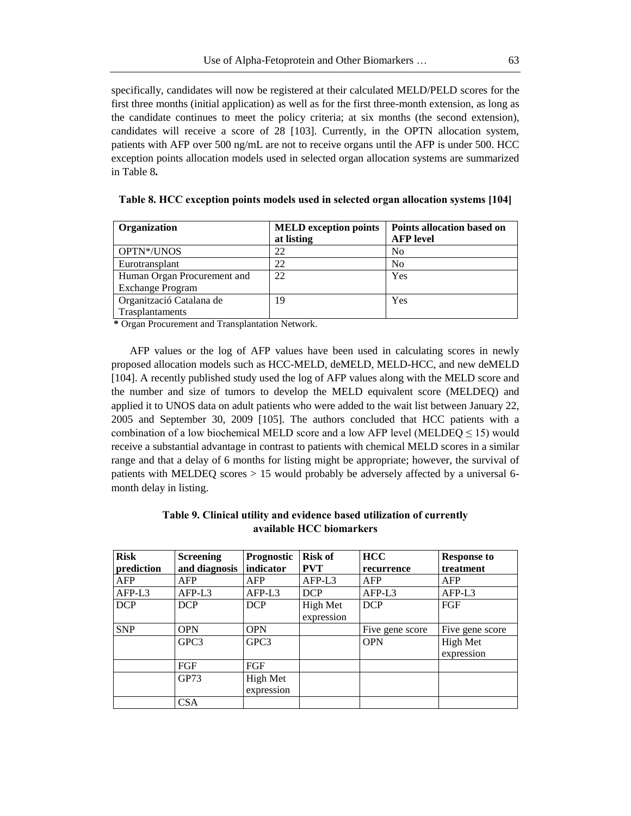specifically, candidates will now be registered at their calculated MELD/PELD scores for the first three months (initial application) as well as for the first three-month extension, as long as the candidate continues to meet the policy criteria; at six months (the second extension), candidates will receive a score of 28 [103]. Currently, in the OPTN allocation system, patients with AFP over 500 ng/mL are not to receive organs until the AFP is under 500. HCC exception points allocation models used in selected organ allocation systems are summarized in Table 8**.** 

| Organization                | <b>MELD</b> exception points | <b>Points allocation based on</b> |  |
|-----------------------------|------------------------------|-----------------------------------|--|
|                             | at listing                   | <b>AFP</b> level                  |  |
| OPTN*/UNOS                  | 22                           | N <sub>0</sub>                    |  |
| Eurotransplant              | 22                           | N <sub>o</sub>                    |  |
| Human Organ Procurement and | 22                           | Yes                               |  |
| <b>Exchange Program</b>     |                              |                                   |  |
| Organització Catalana de    | 19                           | Yes                               |  |
| Trasplantaments             |                              |                                   |  |

**Table 8. HCC exception points models used in selected organ allocation systems [104]** 

**\*** Organ Procurement and Transplantation Network.

AFP values or the log of AFP values have been used in calculating scores in newly proposed allocation models such as HCC-MELD, deMELD, MELD-HCC, and new deMELD [104]. A recently published study used the log of AFP values along with the MELD score and the number and size of tumors to develop the MELD equivalent score (MELDEQ) and applied it to UNOS data on adult patients who were added to the wait list between January 22, 2005 and September 30, 2009 [105]. The authors concluded that HCC patients with a combination of a low biochemical MELD score and a low AFP level (MELDEQ  $\leq$  15) would receive a substantial advantage in contrast to patients with chemical MELD scores in a similar range and that a delay of 6 months for listing might be appropriate; however, the survival of patients with MELDEQ scores > 15 would probably be adversely affected by a universal 6 month delay in listing.

| <b>Risk</b> | <b>Screening</b> | Prognostic             | <b>Risk of</b>         | <b>HCC</b>      | <b>Response to</b>     |
|-------------|------------------|------------------------|------------------------|-----------------|------------------------|
| prediction  | and diagnosis    | indicator              | <b>PVT</b>             | recurrence      | treatment              |
| AFP         | AFP              | AFP                    | $AFP-L3$               | <b>AFP</b>      | AFP                    |
| $AFP-L3$    | AFP-L3           | AFP-L3                 | <b>DCP</b>             | AFP-L3          | $AFP-L3$               |
| <b>DCP</b>  | <b>DCP</b>       | <b>DCP</b>             | High Met<br>expression | <b>DCP</b>      | FGF                    |
| <b>SNP</b>  | <b>OPN</b>       | <b>OPN</b>             |                        | Five gene score | Five gene score        |
|             | GPC <sub>3</sub> | GPC <sub>3</sub>       |                        | <b>OPN</b>      | High Met<br>expression |
|             | FGF              | FGF                    |                        |                 |                        |
|             | GP73             | High Met<br>expression |                        |                 |                        |
|             | <b>CSA</b>       |                        |                        |                 |                        |

**Table 9. Clinical utility and evidence based utilization of currently available HCC biomarkers**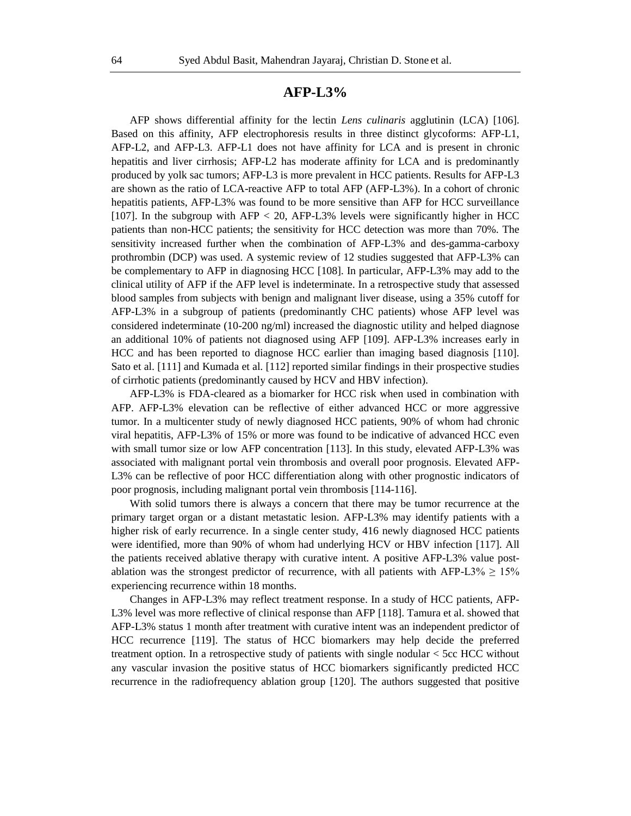# **AFP-L3%**

AFP shows differential affinity for the lectin *Lens culinaris* agglutinin (LCA) [106]. Based on this affinity, AFP electrophoresis results in three distinct glycoforms: AFP-L1, AFP-L2, and AFP-L3. AFP-L1 does not have affinity for LCA and is present in chronic hepatitis and liver cirrhosis; AFP-L2 has moderate affinity for LCA and is predominantly produced by yolk sac tumors; AFP-L3 is more prevalent in HCC patients. Results for AFP-L3 are shown as the ratio of LCA-reactive AFP to total AFP (AFP-L3%). In a cohort of chronic hepatitis patients, AFP-L3% was found to be more sensitive than AFP for HCC surveillance [107]. In the subgroup with AFP < 20, AFP-L3% levels were significantly higher in HCC patients than non-HCC patients; the sensitivity for HCC detection was more than 70%. The sensitivity increased further when the combination of AFP-L3% and des-gamma-carboxy prothrombin (DCP) was used. A systemic review of 12 studies suggested that AFP-L3% can be complementary to AFP in diagnosing HCC [108]. In particular, AFP-L3% may add to the clinical utility of AFP if the AFP level is indeterminate. In a retrospective study that assessed blood samples from subjects with benign and malignant liver disease, using a 35% cutoff for AFP-L3% in a subgroup of patients (predominantly CHC patients) whose AFP level was considered indeterminate (10-200 ng/ml) increased the diagnostic utility and helped diagnose an additional 10% of patients not diagnosed using AFP [109]. AFP-L3% increases early in HCC and has been reported to diagnose HCC earlier than imaging based diagnosis [110]. Sato et al. [111] and Kumada et al. [112] reported similar findings in their prospective studies of cirrhotic patients (predominantly caused by HCV and HBV infection).

AFP-L3% is FDA-cleared as a biomarker for HCC risk when used in combination with AFP. AFP-L3% elevation can be reflective of either advanced HCC or more aggressive tumor. In a multicenter study of newly diagnosed HCC patients, 90% of whom had chronic viral hepatitis, AFP-L3% of 15% or more was found to be indicative of advanced HCC even with small tumor size or low AFP concentration [113]. In this study, elevated AFP-L3% was associated with malignant portal vein thrombosis and overall poor prognosis. Elevated AFP-L3% can be reflective of poor HCC differentiation along with other prognostic indicators of poor prognosis, including malignant portal vein thrombosis [114-116].

With solid tumors there is always a concern that there may be tumor recurrence at the primary target organ or a distant metastatic lesion. AFP-L3% may identify patients with a higher risk of early recurrence. In a single center study, 416 newly diagnosed HCC patients were identified, more than 90% of whom had underlying HCV or HBV infection [117]. All the patients received ablative therapy with curative intent. A positive AFP-L3% value postablation was the strongest predictor of recurrence, with all patients with AFP-L3%  $\geq 15\%$ experiencing recurrence within 18 months.

Changes in AFP-L3% may reflect treatment response. In a study of HCC patients, AFP-L3% level was more reflective of clinical response than AFP [118]. Tamura et al. showed that AFP-L3% status 1 month after treatment with curative intent was an independent predictor of HCC recurrence [119]. The status of HCC biomarkers may help decide the preferred treatment option. In a retrospective study of patients with single nodular < 5cc HCC without any vascular invasion the positive status of HCC biomarkers significantly predicted HCC recurrence in the radiofrequency ablation group [120]. The authors suggested that positive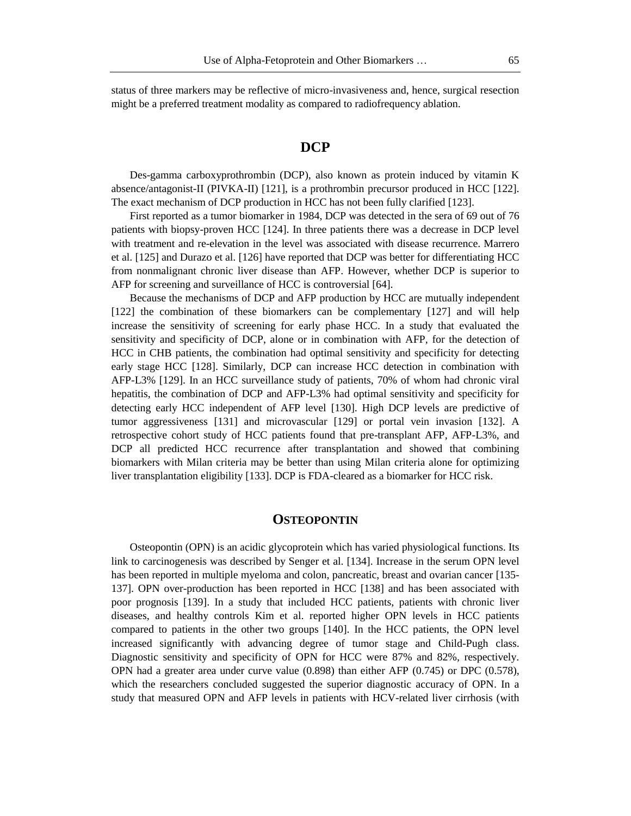status of three markers may be reflective of micro-invasiveness and, hence, surgical resection might be a preferred treatment modality as compared to radiofrequency ablation.

# **DCP**

Des-gamma carboxyprothrombin (DCP), also known as protein induced by vitamin K absence/antagonist-II (PIVKA-II) [121], is a prothrombin precursor produced in HCC [122]. The exact mechanism of DCP production in HCC has not been fully clarified [123].

First reported as a tumor biomarker in 1984, DCP was detected in the sera of 69 out of 76 patients with biopsy-proven HCC [124]. In three patients there was a decrease in DCP level with treatment and re-elevation in the level was associated with disease recurrence. Marrero et al. [125] and Durazo et al. [126] have reported that DCP was better for differentiating HCC from nonmalignant chronic liver disease than AFP. However, whether DCP is superior to AFP for screening and surveillance of HCC is controversial [64].

Because the mechanisms of DCP and AFP production by HCC are mutually independent [122] the combination of these biomarkers can be complementary [127] and will help increase the sensitivity of screening for early phase HCC. In a study that evaluated the sensitivity and specificity of DCP, alone or in combination with AFP, for the detection of HCC in CHB patients, the combination had optimal sensitivity and specificity for detecting early stage HCC [128]. Similarly, DCP can increase HCC detection in combination with AFP-L3% [129]. In an HCC surveillance study of patients, 70% of whom had chronic viral hepatitis, the combination of DCP and AFP-L3% had optimal sensitivity and specificity for detecting early HCC independent of AFP level [130]. High DCP levels are predictive of tumor aggressiveness [131] and microvascular [129] or portal vein invasion [132]. A retrospective cohort study of HCC patients found that pre-transplant AFP, AFP-L3%, and DCP all predicted HCC recurrence after transplantation and showed that combining biomarkers with Milan criteria may be better than using Milan criteria alone for optimizing liver transplantation eligibility [133]. DCP is FDA-cleared as a biomarker for HCC risk.

#### **OSTEOPONTIN**

Osteopontin (OPN) is an acidic glycoprotein which has varied physiological functions. Its link to carcinogenesis was described by Senger et al. [134]. Increase in the serum OPN level has been reported in multiple myeloma and colon, pancreatic, breast and ovarian cancer [135- 137]. OPN over-production has been reported in HCC [138] and has been associated with poor prognosis [139]. In a study that included HCC patients, patients with chronic liver diseases, and healthy controls Kim et al. reported higher OPN levels in HCC patients compared to patients in the other two groups [140]. In the HCC patients, the OPN level increased significantly with advancing degree of tumor stage and Child-Pugh class. Diagnostic sensitivity and specificity of OPN for HCC were 87% and 82%, respectively. OPN had a greater area under curve value (0.898) than either AFP (0.745) or DPC (0.578), which the researchers concluded suggested the superior diagnostic accuracy of OPN. In a study that measured OPN and AFP levels in patients with HCV-related liver cirrhosis (with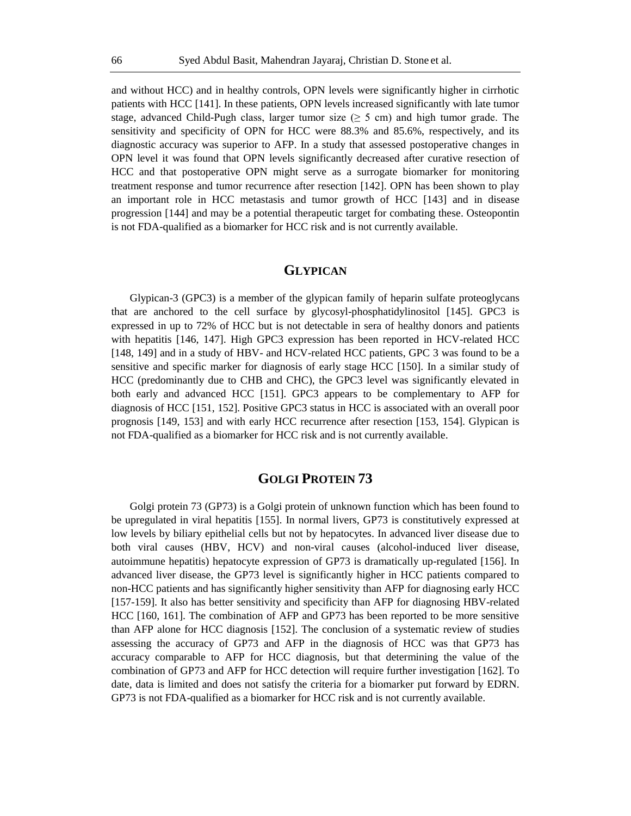and without HCC) and in healthy controls, OPN levels were significantly higher in cirrhotic patients with HCC [141]. In these patients, OPN levels increased significantly with late tumor stage, advanced Child-Pugh class, larger tumor size ( $\geq$  5 cm) and high tumor grade. The sensitivity and specificity of OPN for HCC were 88.3% and 85.6%, respectively, and its diagnostic accuracy was superior to AFP. In a study that assessed postoperative changes in OPN level it was found that OPN levels significantly decreased after curative resection of HCC and that postoperative OPN might serve as a surrogate biomarker for monitoring treatment response and tumor recurrence after resection [142]. OPN has been shown to play an important role in HCC metastasis and tumor growth of HCC [143] and in disease progression [144] and may be a potential therapeutic target for combating these. Osteopontin is not FDA-qualified as a biomarker for HCC risk and is not currently available.

#### **GLYPICAN**

Glypican-3 (GPC3) is a member of the glypican family of heparin sulfate proteoglycans that are anchored to the cell surface by glycosyl-phosphatidylinositol [145]. GPC3 is expressed in up to 72% of HCC but is not detectable in sera of healthy donors and patients with hepatitis [146, 147]. High GPC3 expression has been reported in HCV-related HCC [148, 149] and in a study of HBV- and HCV-related HCC patients, GPC 3 was found to be a sensitive and specific marker for diagnosis of early stage HCC [150]. In a similar study of HCC (predominantly due to CHB and CHC), the GPC3 level was significantly elevated in both early and advanced HCC [151]. GPC3 appears to be complementary to AFP for diagnosis of HCC [151, 152]. Positive GPC3 status in HCC is associated with an overall poor prognosis [149, 153] and with early HCC recurrence after resection [153, 154]. Glypican is not FDA-qualified as a biomarker for HCC risk and is not currently available.

# **GOLGI PROTEIN 73**

Golgi protein 73 (GP73) is a Golgi protein of unknown function which has been found to be upregulated in viral hepatitis [155]. In normal livers, GP73 is constitutively expressed at low levels by biliary epithelial cells but not by hepatocytes. In advanced liver disease due to both viral causes (HBV, HCV) and non-viral causes (alcohol-induced liver disease, autoimmune hepatitis) hepatocyte expression of GP73 is dramatically up-regulated [156]. In advanced liver disease, the GP73 level is significantly higher in HCC patients compared to non-HCC patients and has significantly higher sensitivity than AFP for diagnosing early HCC [157-159]. It also has better sensitivity and specificity than AFP for diagnosing HBV-related HCC [160, 161]. The combination of AFP and GP73 has been reported to be more sensitive than AFP alone for HCC diagnosis [152]. The conclusion of a systematic review of studies assessing the accuracy of GP73 and AFP in the diagnosis of HCC was that GP73 has accuracy comparable to AFP for HCC diagnosis, but that determining the value of the combination of GP73 and AFP for HCC detection will require further investigation [162]. To date, data is limited and does not satisfy the criteria for a biomarker put forward by EDRN. GP73 is not FDA-qualified as a biomarker for HCC risk and is not currently available.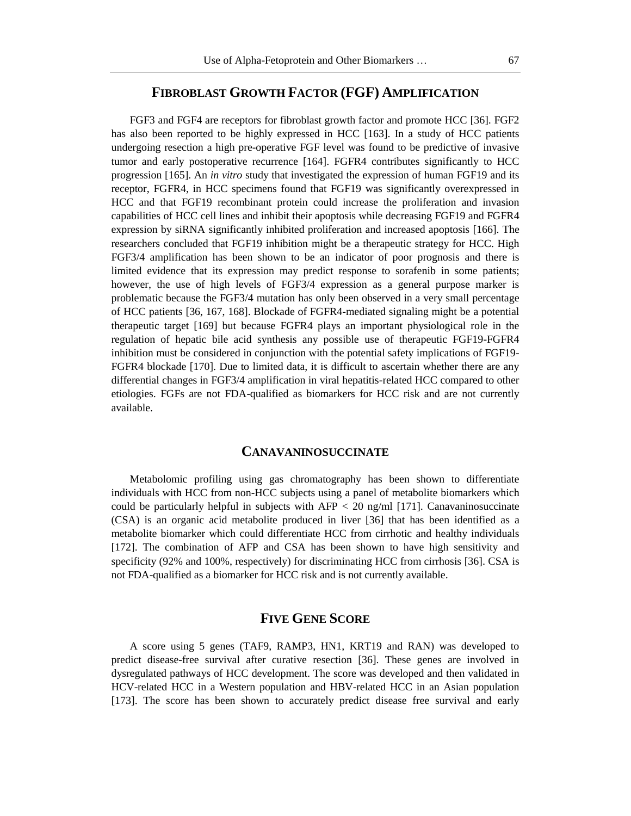# **FIBROBLAST GROWTH FACTOR (FGF) AMPLIFICATION**

FGF3 and FGF4 are receptors for fibroblast growth factor and promote HCC [36]. FGF2 has also been reported to be highly expressed in HCC [163]. In a study of HCC patients undergoing resection a high pre-operative FGF level was found to be predictive of invasive tumor and early postoperative recurrence [164]. FGFR4 contributes significantly to HCC progression [165]. An *in vitro* study that investigated the expression of human FGF19 and its receptor, FGFR4, in HCC specimens found that FGF19 was significantly overexpressed in HCC and that FGF19 recombinant protein could increase the proliferation and invasion capabilities of HCC cell lines and inhibit their apoptosis while decreasing FGF19 and FGFR4 expression by siRNA significantly inhibited proliferation and increased apoptosis [166]. The researchers concluded that FGF19 inhibition might be a therapeutic strategy for HCC. High FGF3/4 amplification has been shown to be an indicator of poor prognosis and there is limited evidence that its expression may predict response to sorafenib in some patients; however, the use of high levels of FGF3/4 expression as a general purpose marker is problematic because the FGF3/4 mutation has only been observed in a very small percentage of HCC patients [36, 167, 168]. Blockade of FGFR4-mediated signaling might be a potential therapeutic target [169] but because FGFR4 plays an important physiological role in the regulation of hepatic bile acid synthesis any possible use of therapeutic FGF19-FGFR4 inhibition must be considered in conjunction with the potential safety implications of FGF19- FGFR4 blockade [170]. Due to limited data, it is difficult to ascertain whether there are any differential changes in FGF3/4 amplification in viral hepatitis-related HCC compared to other etiologies. FGFs are not FDA-qualified as biomarkers for HCC risk and are not currently available.

#### **CANAVANINOSUCCINATE**

Metabolomic profiling using gas chromatography has been shown to differentiate individuals with HCC from non-HCC subjects using a panel of metabolite biomarkers which could be particularly helpful in subjects with  $AFP < 20$  ng/ml [171]. Canavaninosuccinate (CSA) is an organic acid metabolite produced in liver [36] that has been identified as a metabolite biomarker which could differentiate HCC from cirrhotic and healthy individuals [172]. The combination of AFP and CSA has been shown to have high sensitivity and specificity (92% and 100%, respectively) for discriminating HCC from cirrhosis [36]. CSA is not FDA-qualified as a biomarker for HCC risk and is not currently available.

# **FIVE GENE SCORE**

A score using 5 genes (TAF9, RAMP3, HN1, KRT19 and RAN) was developed to predict disease-free survival after curative resection [36]. These genes are involved in dysregulated pathways of HCC development. The score was developed and then validated in HCV-related HCC in a Western population and HBV-related HCC in an Asian population [173]. The score has been shown to accurately predict disease free survival and early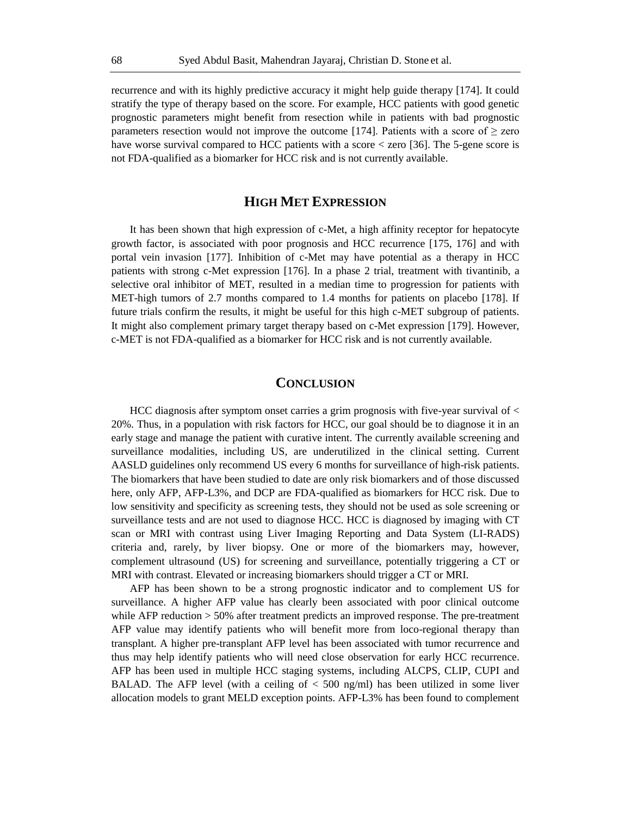recurrence and with its highly predictive accuracy it might help guide therapy [174]. It could stratify the type of therapy based on the score. For example, HCC patients with good genetic prognostic parameters might benefit from resection while in patients with bad prognostic parameters resection would not improve the outcome [174]. Patients with a score of  $\ge$  zero have worse survival compared to HCC patients with a score < zero [36]. The 5-gene score is not FDA-qualified as a biomarker for HCC risk and is not currently available.

# **HIGH MET EXPRESSION**

It has been shown that high expression of c-Met, a high affinity receptor for hepatocyte growth factor, is associated with poor prognosis and HCC recurrence [175, 176] and with portal vein invasion [177]. Inhibition of c-Met may have potential as a therapy in HCC patients with strong c-Met expression [176]. In a phase 2 trial, treatment with tivantinib, a selective oral inhibitor of MET, resulted in a median time to progression for patients with MET-high tumors of 2.7 months compared to 1.4 months for patients on placebo [178]. If future trials confirm the results, it might be useful for this high c-MET subgroup of patients. It might also complement primary target therapy based on c-Met expression [179]. However, c-MET is not FDA-qualified as a biomarker for HCC risk and is not currently available.

### **CONCLUSION**

HCC diagnosis after symptom onset carries a grim prognosis with five-year survival of < 20%. Thus, in a population with risk factors for HCC, our goal should be to diagnose it in an early stage and manage the patient with curative intent. The currently available screening and surveillance modalities, including US, are underutilized in the clinical setting. Current AASLD guidelines only recommend US every 6 months for surveillance of high-risk patients. The biomarkers that have been studied to date are only risk biomarkers and of those discussed here, only AFP, AFP-L3%, and DCP are FDA-qualified as biomarkers for HCC risk. Due to low sensitivity and specificity as screening tests, they should not be used as sole screening or surveillance tests and are not used to diagnose HCC. HCC is diagnosed by imaging with CT scan or MRI with contrast using Liver Imaging Reporting and Data System (LI-RADS) criteria and, rarely, by liver biopsy. One or more of the biomarkers may, however, complement ultrasound (US) for screening and surveillance, potentially triggering a CT or MRI with contrast. Elevated or increasing biomarkers should trigger a CT or MRI.

AFP has been shown to be a strong prognostic indicator and to complement US for surveillance. A higher AFP value has clearly been associated with poor clinical outcome while AFP reduction > 50% after treatment predicts an improved response. The pre-treatment AFP value may identify patients who will benefit more from loco-regional therapy than transplant. A higher pre-transplant AFP level has been associated with tumor recurrence and thus may help identify patients who will need close observation for early HCC recurrence. AFP has been used in multiple HCC staging systems, including ALCPS, CLIP, CUPI and BALAD. The AFP level (with a ceiling of  $<$  500 ng/ml) has been utilized in some liver allocation models to grant MELD exception points. AFP-L3% has been found to complement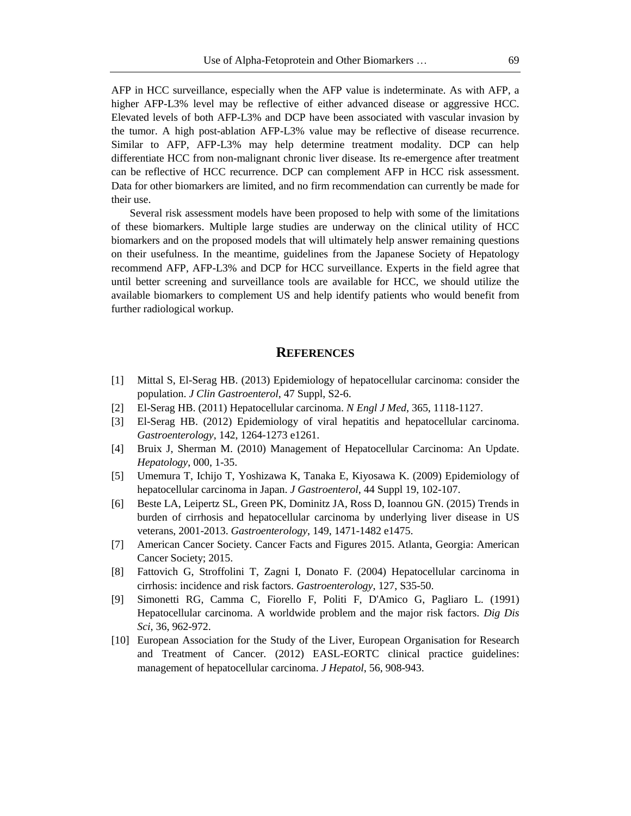AFP in HCC surveillance, especially when the AFP value is indeterminate. As with AFP, a higher AFP-L3% level may be reflective of either advanced disease or aggressive HCC. Elevated levels of both AFP-L3% and DCP have been associated with vascular invasion by the tumor. A high post-ablation AFP-L3% value may be reflective of disease recurrence. Similar to AFP, AFP-L3% may help determine treatment modality. DCP can help differentiate HCC from non-malignant chronic liver disease. Its re-emergence after treatment can be reflective of HCC recurrence. DCP can complement AFP in HCC risk assessment. Data for other biomarkers are limited, and no firm recommendation can currently be made for their use.

Several risk assessment models have been proposed to help with some of the limitations of these biomarkers. Multiple large studies are underway on the clinical utility of HCC biomarkers and on the proposed models that will ultimately help answer remaining questions on their usefulness. In the meantime, guidelines from the Japanese Society of Hepatology recommend AFP, AFP-L3% and DCP for HCC surveillance. Experts in the field agree that until better screening and surveillance tools are available for HCC, we should utilize the available biomarkers to complement US and help identify patients who would benefit from further radiological workup.

# **REFERENCES**

- [1] Mittal S, El-Serag HB. (2013) Epidemiology of hepatocellular carcinoma: consider the population. *J Clin Gastroenterol*, 47 Suppl, S2-6.
- [2] El-Serag HB. (2011) Hepatocellular carcinoma. *N Engl J Med*, 365, 1118-1127.
- [3] El-Serag HB. (2012) Epidemiology of viral hepatitis and hepatocellular carcinoma. *Gastroenterology*, 142, 1264-1273 e1261.
- [4] Bruix J, Sherman M. (2010) Management of Hepatocellular Carcinoma: An Update. *Hepatology*, 000, 1-35.
- [5] Umemura T, Ichijo T, Yoshizawa K, Tanaka E, Kiyosawa K. (2009) Epidemiology of hepatocellular carcinoma in Japan. *J Gastroenterol*, 44 Suppl 19, 102-107.
- [6] Beste LA, Leipertz SL, Green PK, Dominitz JA, Ross D, Ioannou GN. (2015) Trends in burden of cirrhosis and hepatocellular carcinoma by underlying liver disease in US veterans, 2001-2013. *Gastroenterology*, 149, 1471-1482 e1475.
- [7] American Cancer Society. Cancer Facts and Figures 2015. Atlanta, Georgia: American Cancer Society; 2015.
- [8] Fattovich G, Stroffolini T, Zagni I, Donato F. (2004) Hepatocellular carcinoma in cirrhosis: incidence and risk factors. *Gastroenterology*, 127, S35-50.
- [9] Simonetti RG, Camma C, Fiorello F, Politi F, D'Amico G, Pagliaro L. (1991) Hepatocellular carcinoma. A worldwide problem and the major risk factors. *Dig Dis Sci*, 36, 962-972.
- [10] European Association for the Study of the Liver, European Organisation for Research and Treatment of Cancer. (2012) EASL-EORTC clinical practice guidelines: management of hepatocellular carcinoma. *J Hepatol*, 56, 908-943.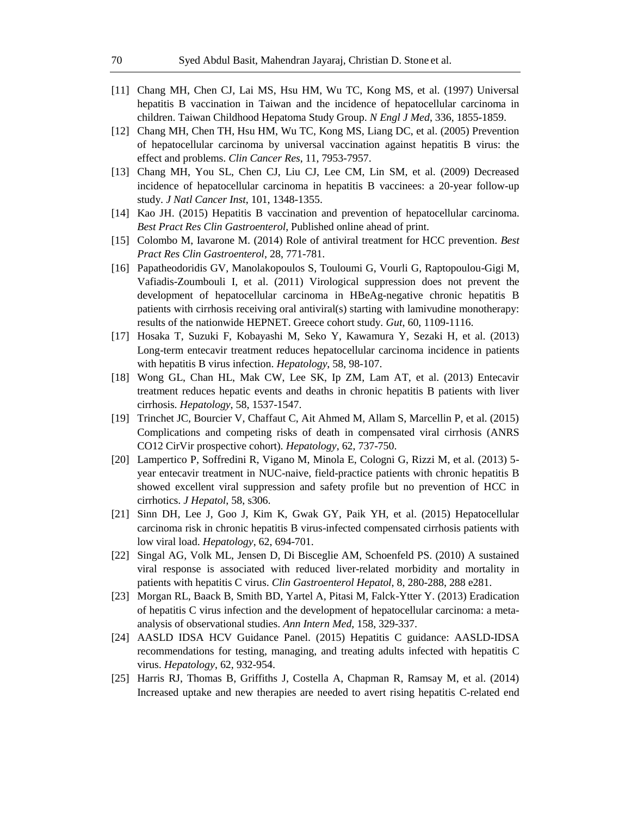- [11] Chang MH, Chen CJ, Lai MS, Hsu HM, Wu TC, Kong MS, et al. (1997) Universal hepatitis B vaccination in Taiwan and the incidence of hepatocellular carcinoma in children. Taiwan Childhood Hepatoma Study Group. *N Engl J Med*, 336, 1855-1859.
- [12] Chang MH, Chen TH, Hsu HM, Wu TC, Kong MS, Liang DC, et al. (2005) Prevention of hepatocellular carcinoma by universal vaccination against hepatitis B virus: the effect and problems. *Clin Cancer Res*, 11, 7953-7957.
- [13] Chang MH, You SL, Chen CJ, Liu CJ, Lee CM, Lin SM, et al. (2009) Decreased incidence of hepatocellular carcinoma in hepatitis B vaccinees: a 20-year follow-up study. *J Natl Cancer Inst*, 101, 1348-1355.
- [14] Kao JH. (2015) Hepatitis B vaccination and prevention of hepatocellular carcinoma. *Best Pract Res Clin Gastroenterol*, Published online ahead of print.
- [15] Colombo M, Iavarone M. (2014) Role of antiviral treatment for HCC prevention. *Best Pract Res Clin Gastroenterol*, 28, 771-781.
- [16] Papatheodoridis GV, Manolakopoulos S, Touloumi G, Vourli G, Raptopoulou-Gigi M, Vafiadis-Zoumbouli I, et al. (2011) Virological suppression does not prevent the development of hepatocellular carcinoma in HBeAg-negative chronic hepatitis B patients with cirrhosis receiving oral antiviral(s) starting with lamivudine monotherapy: results of the nationwide HEPNET. Greece cohort study. *Gut*, 60, 1109-1116.
- [17] Hosaka T, Suzuki F, Kobayashi M, Seko Y, Kawamura Y, Sezaki H, et al. (2013) Long-term entecavir treatment reduces hepatocellular carcinoma incidence in patients with hepatitis B virus infection. *Hepatology*, 58, 98-107.
- [18] Wong GL, Chan HL, Mak CW, Lee SK, Ip ZM, Lam AT, et al. (2013) Entecavir treatment reduces hepatic events and deaths in chronic hepatitis B patients with liver cirrhosis. *Hepatology*, 58, 1537-1547.
- [19] Trinchet JC, Bourcier V, Chaffaut C, Ait Ahmed M, Allam S, Marcellin P, et al. (2015) Complications and competing risks of death in compensated viral cirrhosis (ANRS CO12 CirVir prospective cohort). *Hepatology*, 62, 737-750.
- [20] Lampertico P, Soffredini R, Vigano M, Minola E, Cologni G, Rizzi M, et al. (2013) 5 year entecavir treatment in NUC-naive, field-practice patients with chronic hepatitis B showed excellent viral suppression and safety profile but no prevention of HCC in cirrhotics. *J Hepatol*, 58, s306.
- [21] Sinn DH, Lee J, Goo J, Kim K, Gwak GY, Paik YH, et al. (2015) Hepatocellular carcinoma risk in chronic hepatitis B virus-infected compensated cirrhosis patients with low viral load. *Hepatology*, 62, 694-701.
- [22] Singal AG, Volk ML, Jensen D, Di Bisceglie AM, Schoenfeld PS. (2010) A sustained viral response is associated with reduced liver-related morbidity and mortality in patients with hepatitis C virus. *Clin Gastroenterol Hepatol*, 8, 280-288, 288 e281.
- [23] Morgan RL, Baack B, Smith BD, Yartel A, Pitasi M, Falck-Ytter Y. (2013) Eradication of hepatitis C virus infection and the development of hepatocellular carcinoma: a metaanalysis of observational studies. *Ann Intern Med*, 158, 329-337.
- [24] AASLD IDSA HCV Guidance Panel. (2015) Hepatitis C guidance: AASLD-IDSA recommendations for testing, managing, and treating adults infected with hepatitis C virus. *Hepatology*, 62, 932-954.
- [25] Harris RJ, Thomas B, Griffiths J, Costella A, Chapman R, Ramsay M, et al. (2014) Increased uptake and new therapies are needed to avert rising hepatitis C-related end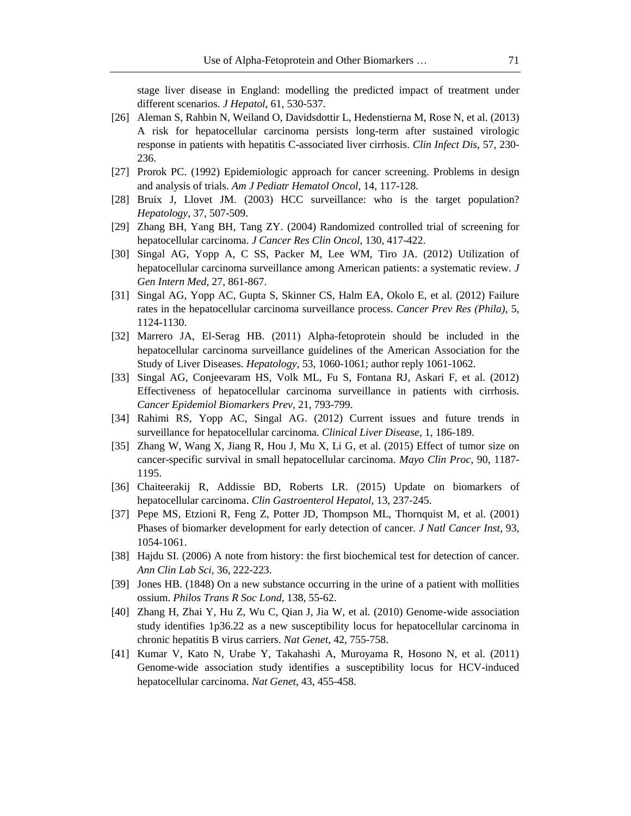stage liver disease in England: modelling the predicted impact of treatment under different scenarios. *J Hepatol*, 61, 530-537.

- [26] Aleman S, Rahbin N, Weiland O, Davidsdottir L, Hedenstierna M, Rose N, et al. (2013) A risk for hepatocellular carcinoma persists long-term after sustained virologic response in patients with hepatitis C-associated liver cirrhosis. *Clin Infect Dis*, 57, 230- 236.
- [27] Prorok PC. (1992) Epidemiologic approach for cancer screening. Problems in design and analysis of trials. *Am J Pediatr Hematol Oncol*, 14, 117-128.
- [28] Bruix J, Llovet JM. (2003) HCC surveillance: who is the target population? *Hepatology*, 37, 507-509.
- [29] Zhang BH, Yang BH, Tang ZY. (2004) Randomized controlled trial of screening for hepatocellular carcinoma. *J Cancer Res Clin Oncol*, 130, 417-422.
- [30] Singal AG, Yopp A, C SS, Packer M, Lee WM, Tiro JA. (2012) Utilization of hepatocellular carcinoma surveillance among American patients: a systematic review. *J Gen Intern Med*, 27, 861-867.
- [31] Singal AG, Yopp AC, Gupta S, Skinner CS, Halm EA, Okolo E, et al. (2012) Failure rates in the hepatocellular carcinoma surveillance process. *Cancer Prev Res (Phila)*, 5, 1124-1130.
- [32] Marrero JA, El-Serag HB. (2011) Alpha-fetoprotein should be included in the hepatocellular carcinoma surveillance guidelines of the American Association for the Study of Liver Diseases. *Hepatology*, 53, 1060-1061; author reply 1061-1062.
- [33] Singal AG, Conjeevaram HS, Volk ML, Fu S, Fontana RJ, Askari F, et al. (2012) Effectiveness of hepatocellular carcinoma surveillance in patients with cirrhosis. *Cancer Epidemiol Biomarkers Prev*, 21, 793-799.
- [34] Rahimi RS, Yopp AC, Singal AG. (2012) Current issues and future trends in surveillance for hepatocellular carcinoma. *Clinical Liver Disease*, 1, 186-189.
- [35] Zhang W, Wang X, Jiang R, Hou J, Mu X, Li G, et al. (2015) Effect of tumor size on cancer-specific survival in small hepatocellular carcinoma. *Mayo Clin Proc*, 90, 1187- 1195.
- [36] Chaiteerakij R, Addissie BD, Roberts LR. (2015) Update on biomarkers of hepatocellular carcinoma. *Clin Gastroenterol Hepatol*, 13, 237-245.
- [37] Pepe MS, Etzioni R, Feng Z, Potter JD, Thompson ML, Thornquist M, et al. (2001) Phases of biomarker development for early detection of cancer. *J Natl Cancer Inst*, 93, 1054-1061.
- [38] Hajdu SI. (2006) A note from history: the first biochemical test for detection of cancer. *Ann Clin Lab Sci*, 36, 222-223.
- [39] Jones HB. (1848) On a new substance occurring in the urine of a patient with mollities ossium. *Philos Trans R Soc Lond*, 138, 55-62.
- [40] Zhang H, Zhai Y, Hu Z, Wu C, Qian J, Jia W, et al. (2010) Genome-wide association study identifies 1p36.22 as a new susceptibility locus for hepatocellular carcinoma in chronic hepatitis B virus carriers. *Nat Genet*, 42, 755-758.
- [41] Kumar V, Kato N, Urabe Y, Takahashi A, Muroyama R, Hosono N, et al. (2011) Genome-wide association study identifies a susceptibility locus for HCV-induced hepatocellular carcinoma. *Nat Genet*, 43, 455-458.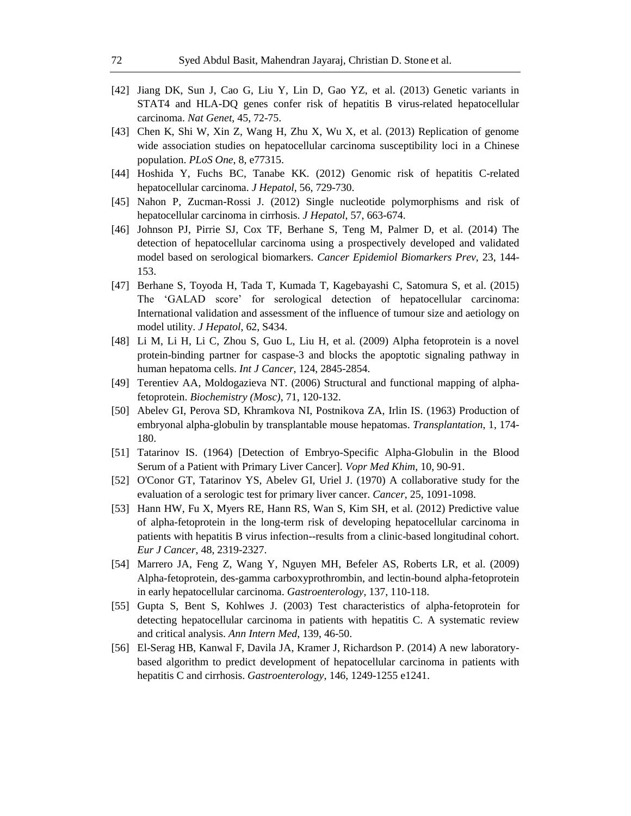- [42] Jiang DK, Sun J, Cao G, Liu Y, Lin D, Gao YZ, et al. (2013) Genetic variants in STAT4 and HLA-DQ genes confer risk of hepatitis B virus-related hepatocellular carcinoma. *Nat Genet*, 45, 72-75.
- [43] Chen K, Shi W, Xin Z, Wang H, Zhu X, Wu X, et al. (2013) Replication of genome wide association studies on hepatocellular carcinoma susceptibility loci in a Chinese population. *PLoS One*, 8, e77315.
- [44] Hoshida Y, Fuchs BC, Tanabe KK. (2012) Genomic risk of hepatitis C-related hepatocellular carcinoma. *J Hepatol*, 56, 729-730.
- [45] Nahon P, Zucman-Rossi J. (2012) Single nucleotide polymorphisms and risk of hepatocellular carcinoma in cirrhosis. *J Hepatol*, 57, 663-674.
- [46] Johnson PJ, Pirrie SJ, Cox TF, Berhane S, Teng M, Palmer D, et al. (2014) The detection of hepatocellular carcinoma using a prospectively developed and validated model based on serological biomarkers. *Cancer Epidemiol Biomarkers Prev*, 23, 144- 153.
- [47] Berhane S, Toyoda H, Tada T, Kumada T, Kagebayashi C, Satomura S, et al. (2015) The 'GALAD score' for serological detection of hepatocellular carcinoma: International validation and assessment of the influence of tumour size and aetiology on model utility. *J Hepatol*, 62, S434.
- [48] Li M, Li H, Li C, Zhou S, Guo L, Liu H, et al. (2009) Alpha fetoprotein is a novel protein-binding partner for caspase-3 and blocks the apoptotic signaling pathway in human hepatoma cells. *Int J Cancer*, 124, 2845-2854.
- [49] Terentiev AA, Moldogazieva NT. (2006) Structural and functional mapping of alphafetoprotein. *Biochemistry (Mosc)*, 71, 120-132.
- [50] Abelev GI, Perova SD, Khramkova NI, Postnikova ZA, Irlin IS. (1963) Production of embryonal alpha-globulin by transplantable mouse hepatomas. *Transplantation*, 1, 174- 180.
- [51] Tatarinov IS. (1964) [Detection of Embryo-Specific Alpha-Globulin in the Blood Serum of a Patient with Primary Liver Cancer]. *Vopr Med Khim*, 10, 90-91.
- [52] O'Conor GT, Tatarinov YS, Abelev GI, Uriel J. (1970) A collaborative study for the evaluation of a serologic test for primary liver cancer. *Cancer*, 25, 1091-1098.
- [53] Hann HW, Fu X, Myers RE, Hann RS, Wan S, Kim SH, et al. (2012) Predictive value of alpha-fetoprotein in the long-term risk of developing hepatocellular carcinoma in patients with hepatitis B virus infection--results from a clinic-based longitudinal cohort. *Eur J Cancer*, 48, 2319-2327.
- [54] Marrero JA, Feng Z, Wang Y, Nguyen MH, Befeler AS, Roberts LR, et al. (2009) Alpha-fetoprotein, des-gamma carboxyprothrombin, and lectin-bound alpha-fetoprotein in early hepatocellular carcinoma. *Gastroenterology*, 137, 110-118.
- [55] Gupta S, Bent S, Kohlwes J. (2003) Test characteristics of alpha-fetoprotein for detecting hepatocellular carcinoma in patients with hepatitis C. A systematic review and critical analysis. *Ann Intern Med*, 139, 46-50.
- [56] El-Serag HB, Kanwal F, Davila JA, Kramer J, Richardson P. (2014) A new laboratorybased algorithm to predict development of hepatocellular carcinoma in patients with hepatitis C and cirrhosis. *Gastroenterology*, 146, 1249-1255 e1241.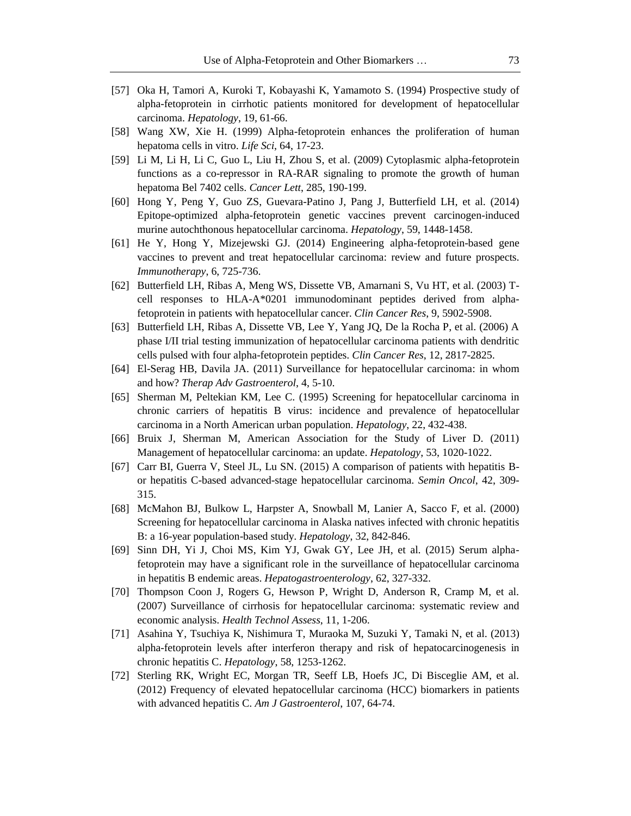- [57] Oka H, Tamori A, Kuroki T, Kobayashi K, Yamamoto S. (1994) Prospective study of alpha-fetoprotein in cirrhotic patients monitored for development of hepatocellular carcinoma. *Hepatology*, 19, 61-66.
- [58] Wang XW, Xie H. (1999) Alpha-fetoprotein enhances the proliferation of human hepatoma cells in vitro. *Life Sci*, 64, 17-23.
- [59] Li M, Li H, Li C, Guo L, Liu H, Zhou S, et al. (2009) Cytoplasmic alpha-fetoprotein functions as a co-repressor in RA-RAR signaling to promote the growth of human hepatoma Bel 7402 cells. *Cancer Lett*, 285, 190-199.
- [60] Hong Y, Peng Y, Guo ZS, Guevara-Patino J, Pang J, Butterfield LH, et al. (2014) Epitope-optimized alpha-fetoprotein genetic vaccines prevent carcinogen-induced murine autochthonous hepatocellular carcinoma. *Hepatology*, 59, 1448-1458.
- [61] He Y, Hong Y, Mizejewski GJ. (2014) Engineering alpha-fetoprotein-based gene vaccines to prevent and treat hepatocellular carcinoma: review and future prospects. *Immunotherapy*, 6, 725-736.
- [62] Butterfield LH, Ribas A, Meng WS, Dissette VB, Amarnani S, Vu HT, et al. (2003) Tcell responses to HLA-A\*0201 immunodominant peptides derived from alphafetoprotein in patients with hepatocellular cancer. *Clin Cancer Res*, 9, 5902-5908.
- [63] Butterfield LH, Ribas A, Dissette VB, Lee Y, Yang JQ, De la Rocha P, et al. (2006) A phase I/II trial testing immunization of hepatocellular carcinoma patients with dendritic cells pulsed with four alpha-fetoprotein peptides. *Clin Cancer Res*, 12, 2817-2825.
- [64] El-Serag HB, Davila JA. (2011) Surveillance for hepatocellular carcinoma: in whom and how? *Therap Adv Gastroenterol*, 4, 5-10.
- [65] Sherman M, Peltekian KM, Lee C. (1995) Screening for hepatocellular carcinoma in chronic carriers of hepatitis B virus: incidence and prevalence of hepatocellular carcinoma in a North American urban population. *Hepatology*, 22, 432-438.
- [66] Bruix J, Sherman M, American Association for the Study of Liver D. (2011) Management of hepatocellular carcinoma: an update. *Hepatology*, 53, 1020-1022.
- [67] Carr BI, Guerra V, Steel JL, Lu SN. (2015) A comparison of patients with hepatitis Bor hepatitis C-based advanced-stage hepatocellular carcinoma. *Semin Oncol*, 42, 309- 315.
- [68] McMahon BJ, Bulkow L, Harpster A, Snowball M, Lanier A, Sacco F, et al. (2000) Screening for hepatocellular carcinoma in Alaska natives infected with chronic hepatitis B: a 16-year population-based study. *Hepatology*, 32, 842-846.
- [69] Sinn DH, Yi J, Choi MS, Kim YJ, Gwak GY, Lee JH, et al. (2015) Serum alphafetoprotein may have a significant role in the surveillance of hepatocellular carcinoma in hepatitis B endemic areas. *Hepatogastroenterology*, 62, 327-332.
- [70] Thompson Coon J, Rogers G, Hewson P, Wright D, Anderson R, Cramp M, et al. (2007) Surveillance of cirrhosis for hepatocellular carcinoma: systematic review and economic analysis. *Health Technol Assess*, 11, 1-206.
- [71] Asahina Y, Tsuchiya K, Nishimura T, Muraoka M, Suzuki Y, Tamaki N, et al. (2013) alpha-fetoprotein levels after interferon therapy and risk of hepatocarcinogenesis in chronic hepatitis C. *Hepatology*, 58, 1253-1262.
- [72] Sterling RK, Wright EC, Morgan TR, Seeff LB, Hoefs JC, Di Bisceglie AM, et al. (2012) Frequency of elevated hepatocellular carcinoma (HCC) biomarkers in patients with advanced hepatitis C. *Am J Gastroenterol*, 107, 64-74.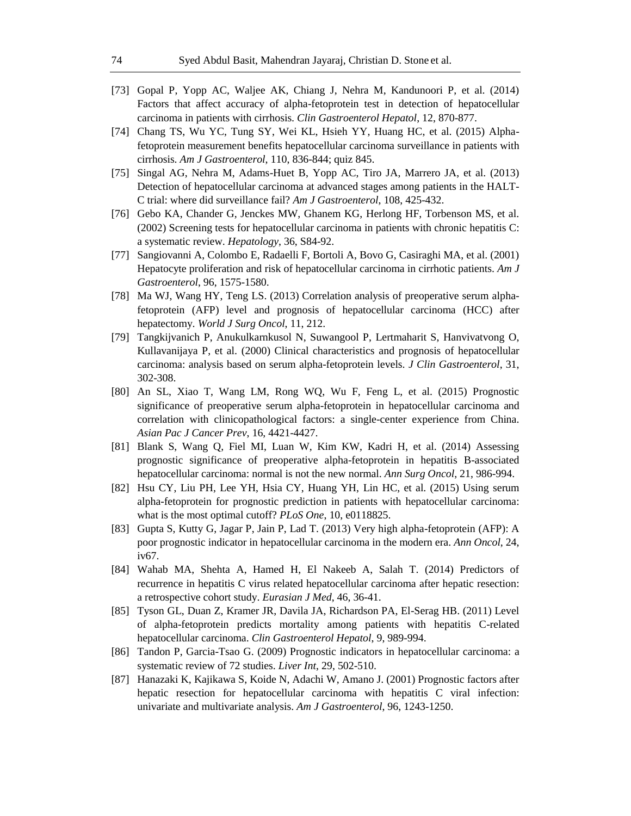- [73] Gopal P, Yopp AC, Waljee AK, Chiang J, Nehra M, Kandunoori P, et al. (2014) Factors that affect accuracy of alpha-fetoprotein test in detection of hepatocellular carcinoma in patients with cirrhosis. *Clin Gastroenterol Hepatol*, 12, 870-877.
- [74] Chang TS, Wu YC, Tung SY, Wei KL, Hsieh YY, Huang HC, et al. (2015) Alphafetoprotein measurement benefits hepatocellular carcinoma surveillance in patients with cirrhosis. *Am J Gastroenterol*, 110, 836-844; quiz 845.
- [75] Singal AG, Nehra M, Adams-Huet B, Yopp AC, Tiro JA, Marrero JA, et al. (2013) Detection of hepatocellular carcinoma at advanced stages among patients in the HALT-C trial: where did surveillance fail? *Am J Gastroenterol*, 108, 425-432.
- [76] Gebo KA, Chander G, Jenckes MW, Ghanem KG, Herlong HF, Torbenson MS, et al. (2002) Screening tests for hepatocellular carcinoma in patients with chronic hepatitis C: a systematic review. *Hepatology*, 36, S84-92.
- [77] Sangiovanni A, Colombo E, Radaelli F, Bortoli A, Bovo G, Casiraghi MA, et al. (2001) Hepatocyte proliferation and risk of hepatocellular carcinoma in cirrhotic patients. *Am J Gastroenterol*, 96, 1575-1580.
- [78] Ma WJ, Wang HY, Teng LS. (2013) Correlation analysis of preoperative serum alphafetoprotein (AFP) level and prognosis of hepatocellular carcinoma (HCC) after hepatectomy. *World J Surg Oncol*, 11, 212.
- [79] Tangkijvanich P, Anukulkarnkusol N, Suwangool P, Lertmaharit S, Hanvivatvong O, Kullavanijaya P, et al. (2000) Clinical characteristics and prognosis of hepatocellular carcinoma: analysis based on serum alpha-fetoprotein levels. *J Clin Gastroenterol*, 31, 302-308.
- [80] An SL, Xiao T, Wang LM, Rong WQ, Wu F, Feng L, et al. (2015) Prognostic significance of preoperative serum alpha-fetoprotein in hepatocellular carcinoma and correlation with clinicopathological factors: a single-center experience from China. *Asian Pac J Cancer Prev*, 16, 4421-4427.
- [81] Blank S, Wang Q, Fiel MI, Luan W, Kim KW, Kadri H, et al. (2014) Assessing prognostic significance of preoperative alpha-fetoprotein in hepatitis B-associated hepatocellular carcinoma: normal is not the new normal. *Ann Surg Oncol*, 21, 986-994.
- [82] Hsu CY, Liu PH, Lee YH, Hsia CY, Huang YH, Lin HC, et al. (2015) Using serum alpha-fetoprotein for prognostic prediction in patients with hepatocellular carcinoma: what is the most optimal cutoff? *PLoS One*, 10, e0118825.
- [83] Gupta S, Kutty G, Jagar P, Jain P, Lad T. (2013) Very high alpha-fetoprotein (AFP): A poor prognostic indicator in hepatocellular carcinoma in the modern era. *Ann Oncol*, 24, iv67.
- [84] Wahab MA, Shehta A, Hamed H, El Nakeeb A, Salah T. (2014) Predictors of recurrence in hepatitis C virus related hepatocellular carcinoma after hepatic resection: a retrospective cohort study. *Eurasian J Med*, 46, 36-41.
- [85] Tyson GL, Duan Z, Kramer JR, Davila JA, Richardson PA, El-Serag HB. (2011) Level of alpha-fetoprotein predicts mortality among patients with hepatitis C-related hepatocellular carcinoma. *Clin Gastroenterol Hepatol*, 9, 989-994.
- [86] Tandon P, Garcia-Tsao G. (2009) Prognostic indicators in hepatocellular carcinoma: a systematic review of 72 studies. *Liver Int*, 29, 502-510.
- [87] Hanazaki K, Kajikawa S, Koide N, Adachi W, Amano J. (2001) Prognostic factors after hepatic resection for hepatocellular carcinoma with hepatitis C viral infection: univariate and multivariate analysis. *Am J Gastroenterol*, 96, 1243-1250.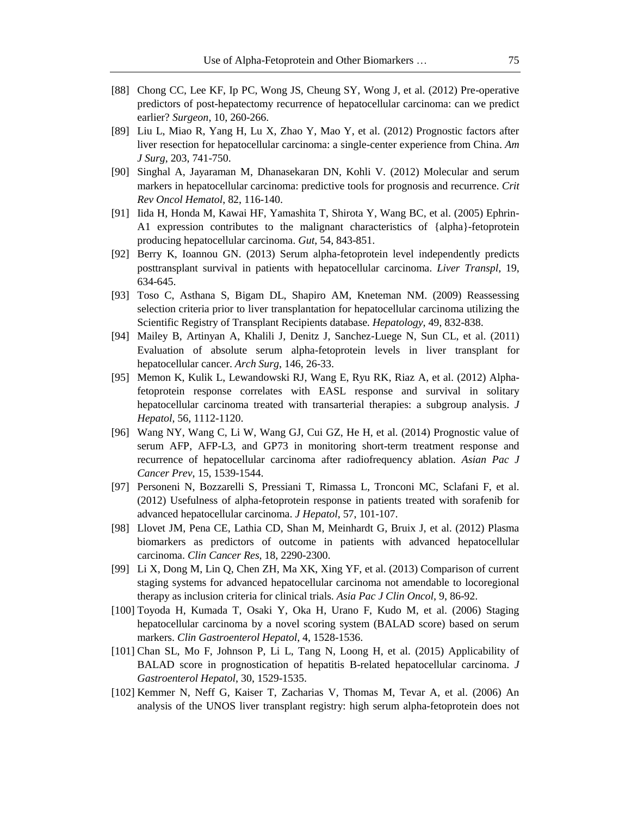- [88] Chong CC, Lee KF, Ip PC, Wong JS, Cheung SY, Wong J, et al. (2012) Pre-operative predictors of post-hepatectomy recurrence of hepatocellular carcinoma: can we predict earlier? *Surgeon*, 10, 260-266.
- [89] Liu L, Miao R, Yang H, Lu X, Zhao Y, Mao Y, et al. (2012) Prognostic factors after liver resection for hepatocellular carcinoma: a single-center experience from China. *Am J Surg*, 203, 741-750.
- [90] Singhal A, Jayaraman M, Dhanasekaran DN, Kohli V. (2012) Molecular and serum markers in hepatocellular carcinoma: predictive tools for prognosis and recurrence. *Crit Rev Oncol Hematol*, 82, 116-140.
- [91] Iida H, Honda M, Kawai HF, Yamashita T, Shirota Y, Wang BC, et al. (2005) Ephrin-A1 expression contributes to the malignant characteristics of {alpha}-fetoprotein producing hepatocellular carcinoma. *Gut*, 54, 843-851.
- [92] Berry K, Ioannou GN. (2013) Serum alpha-fetoprotein level independently predicts posttransplant survival in patients with hepatocellular carcinoma. *Liver Transpl*, 19, 634-645.
- [93] Toso C, Asthana S, Bigam DL, Shapiro AM, Kneteman NM. (2009) Reassessing selection criteria prior to liver transplantation for hepatocellular carcinoma utilizing the Scientific Registry of Transplant Recipients database. *Hepatology*, 49, 832-838.
- [94] Mailey B, Artinyan A, Khalili J, Denitz J, Sanchez-Luege N, Sun CL, et al. (2011) Evaluation of absolute serum alpha-fetoprotein levels in liver transplant for hepatocellular cancer. *Arch Surg*, 146, 26-33.
- [95] Memon K, Kulik L, Lewandowski RJ, Wang E, Ryu RK, Riaz A, et al. (2012) Alphafetoprotein response correlates with EASL response and survival in solitary hepatocellular carcinoma treated with transarterial therapies: a subgroup analysis. *J Hepatol*, 56, 1112-1120.
- [96] Wang NY, Wang C, Li W, Wang GJ, Cui GZ, He H, et al. (2014) Prognostic value of serum AFP, AFP-L3, and GP73 in monitoring short-term treatment response and recurrence of hepatocellular carcinoma after radiofrequency ablation. *Asian Pac J Cancer Prev*, 15, 1539-1544.
- [97] Personeni N, Bozzarelli S, Pressiani T, Rimassa L, Tronconi MC, Sclafani F, et al. (2012) Usefulness of alpha-fetoprotein response in patients treated with sorafenib for advanced hepatocellular carcinoma. *J Hepatol*, 57, 101-107.
- [98] Llovet JM, Pena CE, Lathia CD, Shan M, Meinhardt G, Bruix J, et al. (2012) Plasma biomarkers as predictors of outcome in patients with advanced hepatocellular carcinoma. *Clin Cancer Res*, 18, 2290-2300.
- [99] Li X, Dong M, Lin Q, Chen ZH, Ma XK, Xing YF, et al. (2013) Comparison of current staging systems for advanced hepatocellular carcinoma not amendable to locoregional therapy as inclusion criteria for clinical trials. *Asia Pac J Clin Oncol*, 9, 86-92.
- [100] Toyoda H, Kumada T, Osaki Y, Oka H, Urano F, Kudo M, et al. (2006) Staging hepatocellular carcinoma by a novel scoring system (BALAD score) based on serum markers. *Clin Gastroenterol Hepatol*, 4, 1528-1536.
- [101] Chan SL, Mo F, Johnson P, Li L, Tang N, Loong H, et al. (2015) Applicability of BALAD score in prognostication of hepatitis B-related hepatocellular carcinoma. *J Gastroenterol Hepatol*, 30, 1529-1535.
- [102] Kemmer N, Neff G, Kaiser T, Zacharias V, Thomas M, Tevar A, et al. (2006) An analysis of the UNOS liver transplant registry: high serum alpha-fetoprotein does not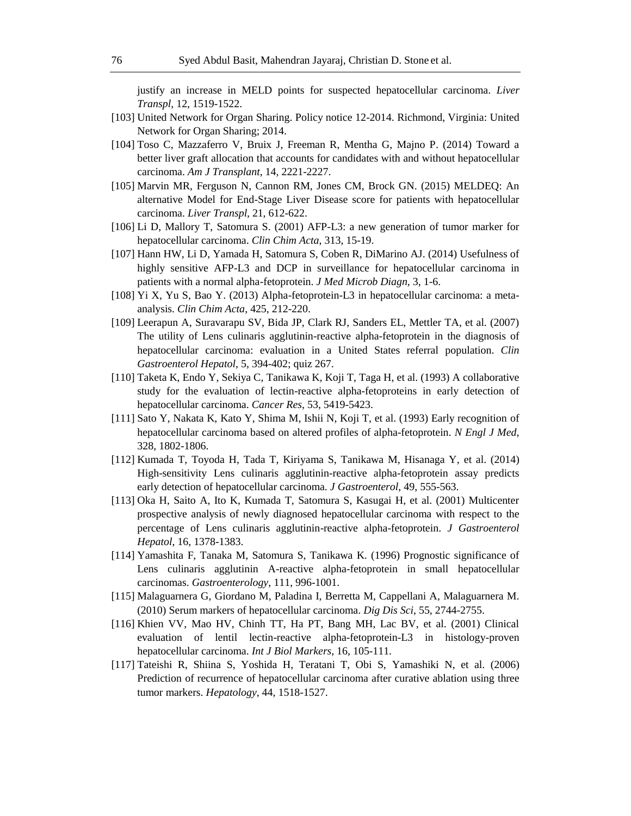justify an increase in MELD points for suspected hepatocellular carcinoma. *Liver Transpl*, 12, 1519-1522.

- [103] United Network for Organ Sharing. Policy notice 12-2014. Richmond, Virginia: United Network for Organ Sharing; 2014.
- [104] Toso C, Mazzaferro V, Bruix J, Freeman R, Mentha G, Majno P. (2014) Toward a better liver graft allocation that accounts for candidates with and without hepatocellular carcinoma. *Am J Transplant*, 14, 2221-2227.
- [105] Marvin MR, Ferguson N, Cannon RM, Jones CM, Brock GN. (2015) MELDEQ: An alternative Model for End-Stage Liver Disease score for patients with hepatocellular carcinoma. *Liver Transpl*, 21, 612-622.
- [106] Li D, Mallory T, Satomura S. (2001) AFP-L3: a new generation of tumor marker for hepatocellular carcinoma. *Clin Chim Acta*, 313, 15-19.
- [107] Hann HW, Li D, Yamada H, Satomura S, Coben R, DiMarino AJ. (2014) Usefulness of highly sensitive AFP-L3 and DCP in surveillance for hepatocellular carcinoma in patients with a normal alpha-fetoprotein. *J Med Microb Diagn*, 3, 1-6.
- [108] Yi X, Yu S, Bao Y. (2013) Alpha-fetoprotein-L3 in hepatocellular carcinoma: a metaanalysis. *Clin Chim Acta*, 425, 212-220.
- [109] Leerapun A, Suravarapu SV, Bida JP, Clark RJ, Sanders EL, Mettler TA, et al. (2007) The utility of Lens culinaris agglutinin-reactive alpha-fetoprotein in the diagnosis of hepatocellular carcinoma: evaluation in a United States referral population. *Clin Gastroenterol Hepatol*, 5, 394-402; quiz 267.
- [110] Taketa K, Endo Y, Sekiya C, Tanikawa K, Koji T, Taga H, et al. (1993) A collaborative study for the evaluation of lectin-reactive alpha-fetoproteins in early detection of hepatocellular carcinoma. *Cancer Res*, 53, 5419-5423.
- [111] Sato Y, Nakata K, Kato Y, Shima M, Ishii N, Koji T, et al. (1993) Early recognition of hepatocellular carcinoma based on altered profiles of alpha-fetoprotein. *N Engl J Med*, 328, 1802-1806.
- [112] Kumada T, Toyoda H, Tada T, Kiriyama S, Tanikawa M, Hisanaga Y, et al. (2014) High-sensitivity Lens culinaris agglutinin-reactive alpha-fetoprotein assay predicts early detection of hepatocellular carcinoma. *J Gastroenterol*, 49, 555-563.
- [113] Oka H, Saito A, Ito K, Kumada T, Satomura S, Kasugai H, et al. (2001) Multicenter prospective analysis of newly diagnosed hepatocellular carcinoma with respect to the percentage of Lens culinaris agglutinin-reactive alpha-fetoprotein. *J Gastroenterol Hepatol*, 16, 1378-1383.
- [114] Yamashita F, Tanaka M, Satomura S, Tanikawa K. (1996) Prognostic significance of Lens culinaris agglutinin A-reactive alpha-fetoprotein in small hepatocellular carcinomas. *Gastroenterology*, 111, 996-1001.
- [115] Malaguarnera G, Giordano M, Paladina I, Berretta M, Cappellani A, Malaguarnera M. (2010) Serum markers of hepatocellular carcinoma. *Dig Dis Sci*, 55, 2744-2755.
- [116] Khien VV, Mao HV, Chinh TT, Ha PT, Bang MH, Lac BV, et al. (2001) Clinical evaluation of lentil lectin-reactive alpha-fetoprotein-L3 in histology-proven hepatocellular carcinoma. *Int J Biol Markers*, 16, 105-111.
- [117] Tateishi R, Shiina S, Yoshida H, Teratani T, Obi S, Yamashiki N, et al. (2006) Prediction of recurrence of hepatocellular carcinoma after curative ablation using three tumor markers. *Hepatology*, 44, 1518-1527.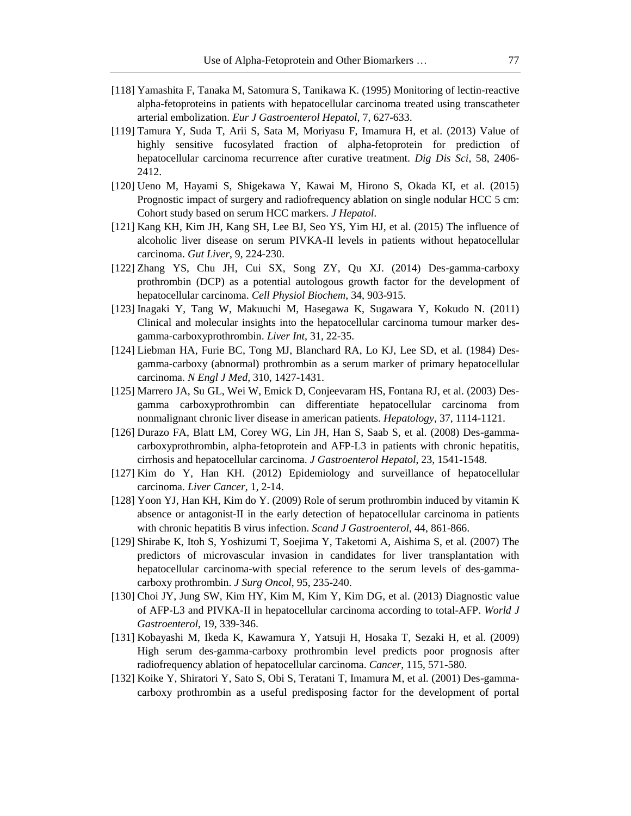- [118] Yamashita F, Tanaka M, Satomura S, Tanikawa K. (1995) Monitoring of lectin-reactive alpha-fetoproteins in patients with hepatocellular carcinoma treated using transcatheter arterial embolization. *Eur J Gastroenterol Hepatol*, 7, 627-633.
- [119] Tamura Y, Suda T, Arii S, Sata M, Moriyasu F, Imamura H, et al. (2013) Value of highly sensitive fucosylated fraction of alpha-fetoprotein for prediction of hepatocellular carcinoma recurrence after curative treatment. *Dig Dis Sci*, 58, 2406- 2412.
- [120] Ueno M, Hayami S, Shigekawa Y, Kawai M, Hirono S, Okada KI, et al. (2015) Prognostic impact of surgery and radiofrequency ablation on single nodular HCC 5 cm: Cohort study based on serum HCC markers. *J Hepatol*.
- [121] Kang KH, Kim JH, Kang SH, Lee BJ, Seo YS, Yim HJ, et al. (2015) The influence of alcoholic liver disease on serum PIVKA-II levels in patients without hepatocellular carcinoma. *Gut Liver*, 9, 224-230.
- [122] Zhang YS, Chu JH, Cui SX, Song ZY, Qu XJ. (2014) Des-gamma-carboxy prothrombin (DCP) as a potential autologous growth factor for the development of hepatocellular carcinoma. *Cell Physiol Biochem*, 34, 903-915.
- [123] Inagaki Y, Tang W, Makuuchi M, Hasegawa K, Sugawara Y, Kokudo N. (2011) Clinical and molecular insights into the hepatocellular carcinoma tumour marker desgamma-carboxyprothrombin. *Liver Int*, 31, 22-35.
- [124] Liebman HA, Furie BC, Tong MJ, Blanchard RA, Lo KJ, Lee SD, et al. (1984) Desgamma-carboxy (abnormal) prothrombin as a serum marker of primary hepatocellular carcinoma. *N Engl J Med*, 310, 1427-1431.
- [125] Marrero JA, Su GL, Wei W, Emick D, Conjeevaram HS, Fontana RJ, et al. (2003) Desgamma carboxyprothrombin can differentiate hepatocellular carcinoma from nonmalignant chronic liver disease in american patients. *Hepatology*, 37, 1114-1121.
- [126] Durazo FA, Blatt LM, Corey WG, Lin JH, Han S, Saab S, et al. (2008) Des-gammacarboxyprothrombin, alpha-fetoprotein and AFP-L3 in patients with chronic hepatitis, cirrhosis and hepatocellular carcinoma. *J Gastroenterol Hepatol*, 23, 1541-1548.
- [127] Kim do Y, Han KH. (2012) Epidemiology and surveillance of hepatocellular carcinoma. *Liver Cancer*, 1, 2-14.
- [128] Yoon YJ, Han KH, Kim do Y. (2009) Role of serum prothrombin induced by vitamin K absence or antagonist-II in the early detection of hepatocellular carcinoma in patients with chronic hepatitis B virus infection. *Scand J Gastroenterol*, 44, 861-866.
- [129] Shirabe K, Itoh S, Yoshizumi T, Soejima Y, Taketomi A, Aishima S, et al. (2007) The predictors of microvascular invasion in candidates for liver transplantation with hepatocellular carcinoma-with special reference to the serum levels of des-gammacarboxy prothrombin. *J Surg Oncol*, 95, 235-240.
- [130] Choi JY, Jung SW, Kim HY, Kim M, Kim Y, Kim DG, et al. (2013) Diagnostic value of AFP-L3 and PIVKA-II in hepatocellular carcinoma according to total-AFP. *World J Gastroenterol*, 19, 339-346.
- [131] Kobayashi M, Ikeda K, Kawamura Y, Yatsuji H, Hosaka T, Sezaki H, et al. (2009) High serum des-gamma-carboxy prothrombin level predicts poor prognosis after radiofrequency ablation of hepatocellular carcinoma. *Cancer*, 115, 571-580.
- [132] Koike Y, Shiratori Y, Sato S, Obi S, Teratani T, Imamura M, et al. (2001) Des-gammacarboxy prothrombin as a useful predisposing factor for the development of portal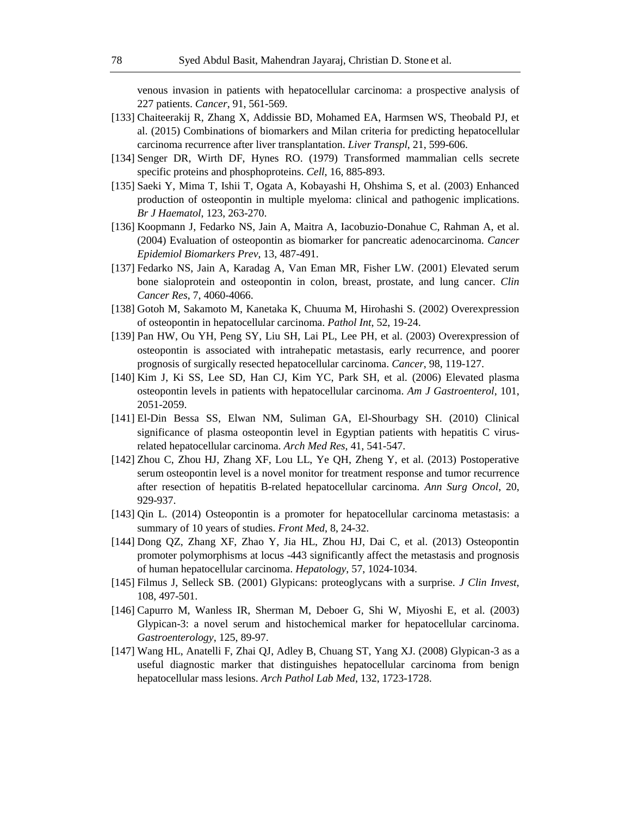venous invasion in patients with hepatocellular carcinoma: a prospective analysis of 227 patients. *Cancer*, 91, 561-569.

- [133] Chaiteerakij R, Zhang X, Addissie BD, Mohamed EA, Harmsen WS, Theobald PJ, et al. (2015) Combinations of biomarkers and Milan criteria for predicting hepatocellular carcinoma recurrence after liver transplantation. *Liver Transpl*, 21, 599-606.
- [134] Senger DR, Wirth DF, Hynes RO. (1979) Transformed mammalian cells secrete specific proteins and phosphoproteins. *Cell*, 16, 885-893.
- [135] Saeki Y, Mima T, Ishii T, Ogata A, Kobayashi H, Ohshima S, et al. (2003) Enhanced production of osteopontin in multiple myeloma: clinical and pathogenic implications. *Br J Haematol*, 123, 263-270.
- [136] Koopmann J, Fedarko NS, Jain A, Maitra A, Iacobuzio-Donahue C, Rahman A, et al. (2004) Evaluation of osteopontin as biomarker for pancreatic adenocarcinoma. *Cancer Epidemiol Biomarkers Prev*, 13, 487-491.
- [137] Fedarko NS, Jain A, Karadag A, Van Eman MR, Fisher LW. (2001) Elevated serum bone sialoprotein and osteopontin in colon, breast, prostate, and lung cancer. *Clin Cancer Res*, 7, 4060-4066.
- [138] Gotoh M, Sakamoto M, Kanetaka K, Chuuma M, Hirohashi S. (2002) Overexpression of osteopontin in hepatocellular carcinoma. *Pathol Int*, 52, 19-24.
- [139] Pan HW, Ou YH, Peng SY, Liu SH, Lai PL, Lee PH, et al. (2003) Overexpression of osteopontin is associated with intrahepatic metastasis, early recurrence, and poorer prognosis of surgically resected hepatocellular carcinoma. *Cancer*, 98, 119-127.
- [140] Kim J, Ki SS, Lee SD, Han CJ, Kim YC, Park SH, et al. (2006) Elevated plasma osteopontin levels in patients with hepatocellular carcinoma. *Am J Gastroenterol*, 101, 2051-2059.
- [141] El-Din Bessa SS, Elwan NM, Suliman GA, El-Shourbagy SH. (2010) Clinical significance of plasma osteopontin level in Egyptian patients with hepatitis C virusrelated hepatocellular carcinoma. *Arch Med Res*, 41, 541-547.
- [142] Zhou C, Zhou HJ, Zhang XF, Lou LL, Ye QH, Zheng Y, et al. (2013) Postoperative serum osteopontin level is a novel monitor for treatment response and tumor recurrence after resection of hepatitis B-related hepatocellular carcinoma. *Ann Surg Oncol*, 20, 929-937.
- [143] Qin L. (2014) Osteopontin is a promoter for hepatocellular carcinoma metastasis: a summary of 10 years of studies. *Front Med*, 8, 24-32.
- [144] Dong QZ, Zhang XF, Zhao Y, Jia HL, Zhou HJ, Dai C, et al. (2013) Osteopontin promoter polymorphisms at locus -443 significantly affect the metastasis and prognosis of human hepatocellular carcinoma. *Hepatology*, 57, 1024-1034.
- [145] Filmus J, Selleck SB. (2001) Glypicans: proteoglycans with a surprise. *J Clin Invest*, 108, 497-501.
- [146] Capurro M, Wanless IR, Sherman M, Deboer G, Shi W, Miyoshi E, et al. (2003) Glypican-3: a novel serum and histochemical marker for hepatocellular carcinoma. *Gastroenterology*, 125, 89-97.
- [147] Wang HL, Anatelli F, Zhai QJ, Adley B, Chuang ST, Yang XJ. (2008) Glypican-3 as a useful diagnostic marker that distinguishes hepatocellular carcinoma from benign hepatocellular mass lesions. *Arch Pathol Lab Med*, 132, 1723-1728.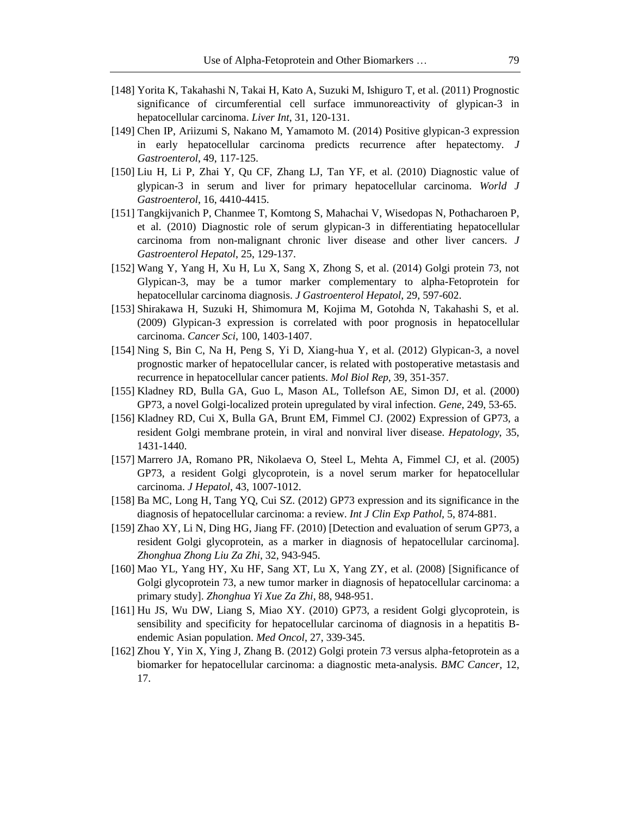- [148] Yorita K, Takahashi N, Takai H, Kato A, Suzuki M, Ishiguro T, et al. (2011) Prognostic significance of circumferential cell surface immunoreactivity of glypican-3 in hepatocellular carcinoma. *Liver Int*, 31, 120-131.
- [149] Chen IP, Ariizumi S, Nakano M, Yamamoto M. (2014) Positive glypican-3 expression in early hepatocellular carcinoma predicts recurrence after hepatectomy. *J Gastroenterol*, 49, 117-125.
- [150] Liu H, Li P, Zhai Y, Qu CF, Zhang LJ, Tan YF, et al. (2010) Diagnostic value of glypican-3 in serum and liver for primary hepatocellular carcinoma. *World J Gastroenterol*, 16, 4410-4415.
- [151] Tangkijvanich P, Chanmee T, Komtong S, Mahachai V, Wisedopas N, Pothacharoen P, et al. (2010) Diagnostic role of serum glypican-3 in differentiating hepatocellular carcinoma from non-malignant chronic liver disease and other liver cancers. *J Gastroenterol Hepatol*, 25, 129-137.
- [152] Wang Y, Yang H, Xu H, Lu X, Sang X, Zhong S, et al. (2014) Golgi protein 73, not Glypican-3, may be a tumor marker complementary to alpha-Fetoprotein for hepatocellular carcinoma diagnosis. *J Gastroenterol Hepatol*, 29, 597-602.
- [153] Shirakawa H, Suzuki H, Shimomura M, Kojima M, Gotohda N, Takahashi S, et al. (2009) Glypican-3 expression is correlated with poor prognosis in hepatocellular carcinoma. *Cancer Sci*, 100, 1403-1407.
- [154] Ning S, Bin C, Na H, Peng S, Yi D, Xiang-hua Y, et al. (2012) Glypican-3, a novel prognostic marker of hepatocellular cancer, is related with postoperative metastasis and recurrence in hepatocellular cancer patients. *Mol Biol Rep*, 39, 351-357.
- [155] Kladney RD, Bulla GA, Guo L, Mason AL, Tollefson AE, Simon DJ, et al. (2000) GP73, a novel Golgi-localized protein upregulated by viral infection. *Gene*, 249, 53-65.
- [156] Kladney RD, Cui X, Bulla GA, Brunt EM, Fimmel CJ. (2002) Expression of GP73, a resident Golgi membrane protein, in viral and nonviral liver disease. *Hepatology*, 35, 1431-1440.
- [157] Marrero JA, Romano PR, Nikolaeva O, Steel L, Mehta A, Fimmel CJ, et al. (2005) GP73, a resident Golgi glycoprotein, is a novel serum marker for hepatocellular carcinoma. *J Hepatol*, 43, 1007-1012.
- [158] Ba MC, Long H, Tang YQ, Cui SZ. (2012) GP73 expression and its significance in the diagnosis of hepatocellular carcinoma: a review. *Int J Clin Exp Pathol*, 5, 874-881.
- [159] Zhao XY, Li N, Ding HG, Jiang FF. (2010) [Detection and evaluation of serum GP73, a resident Golgi glycoprotein, as a marker in diagnosis of hepatocellular carcinoma]. *Zhonghua Zhong Liu Za Zhi*, 32, 943-945.
- [160] Mao YL, Yang HY, Xu HF, Sang XT, Lu X, Yang ZY, et al. (2008) [Significance of Golgi glycoprotein 73, a new tumor marker in diagnosis of hepatocellular carcinoma: a primary study]. *Zhonghua Yi Xue Za Zhi*, 88, 948-951.
- [161] Hu JS, Wu DW, Liang S, Miao XY. (2010) GP73, a resident Golgi glycoprotein, is sensibility and specificity for hepatocellular carcinoma of diagnosis in a hepatitis Bendemic Asian population. *Med Oncol*, 27, 339-345.
- [162] Zhou Y, Yin X, Ying J, Zhang B. (2012) Golgi protein 73 versus alpha-fetoprotein as a biomarker for hepatocellular carcinoma: a diagnostic meta-analysis. *BMC Cancer*, 12, 17.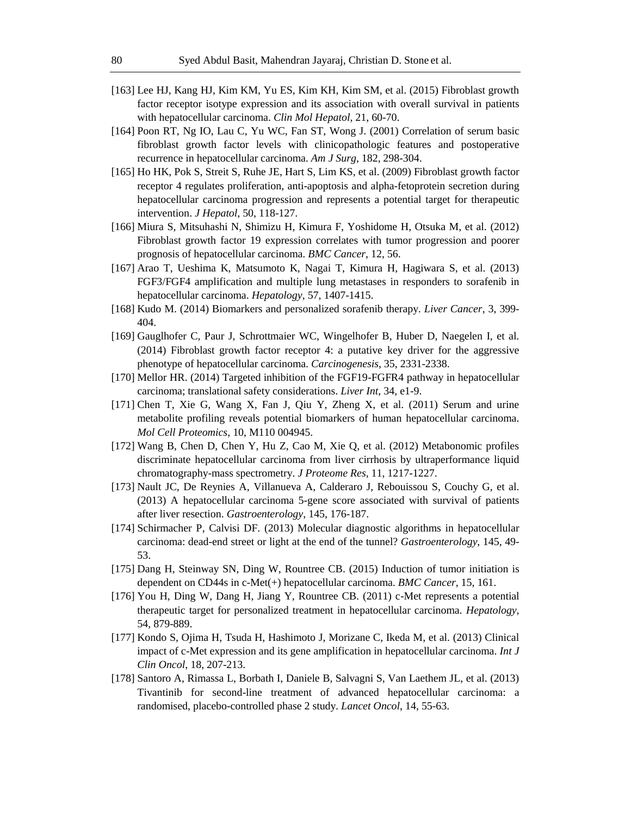- [163] Lee HJ, Kang HJ, Kim KM, Yu ES, Kim KH, Kim SM, et al. (2015) Fibroblast growth factor receptor isotype expression and its association with overall survival in patients with hepatocellular carcinoma. *Clin Mol Hepatol*, 21, 60-70.
- [164] Poon RT, Ng IO, Lau C, Yu WC, Fan ST, Wong J. (2001) Correlation of serum basic fibroblast growth factor levels with clinicopathologic features and postoperative recurrence in hepatocellular carcinoma. *Am J Surg*, 182, 298-304.
- [165] Ho HK, Pok S, Streit S, Ruhe JE, Hart S, Lim KS, et al. (2009) Fibroblast growth factor receptor 4 regulates proliferation, anti-apoptosis and alpha-fetoprotein secretion during hepatocellular carcinoma progression and represents a potential target for therapeutic intervention. *J Hepatol*, 50, 118-127.
- [166] Miura S, Mitsuhashi N, Shimizu H, Kimura F, Yoshidome H, Otsuka M, et al. (2012) Fibroblast growth factor 19 expression correlates with tumor progression and poorer prognosis of hepatocellular carcinoma. *BMC Cancer*, 12, 56.
- [167] Arao T, Ueshima K, Matsumoto K, Nagai T, Kimura H, Hagiwara S, et al. (2013) FGF3/FGF4 amplification and multiple lung metastases in responders to sorafenib in hepatocellular carcinoma. *Hepatology*, 57, 1407-1415.
- [168] Kudo M. (2014) Biomarkers and personalized sorafenib therapy. *Liver Cancer*, 3, 399- 404.
- [169] Gauglhofer C, Paur J, Schrottmaier WC, Wingelhofer B, Huber D, Naegelen I, et al. (2014) Fibroblast growth factor receptor 4: a putative key driver for the aggressive phenotype of hepatocellular carcinoma. *Carcinogenesis*, 35, 2331-2338.
- [170] Mellor HR. (2014) Targeted inhibition of the FGF19-FGFR4 pathway in hepatocellular carcinoma; translational safety considerations. *Liver Int*, 34, e1-9.
- [171] Chen T, Xie G, Wang X, Fan J, Qiu Y, Zheng X, et al. (2011) Serum and urine metabolite profiling reveals potential biomarkers of human hepatocellular carcinoma. *Mol Cell Proteomics*, 10, M110 004945.
- [172] Wang B, Chen D, Chen Y, Hu Z, Cao M, Xie Q, et al. (2012) Metabonomic profiles discriminate hepatocellular carcinoma from liver cirrhosis by ultraperformance liquid chromatography-mass spectrometry. *J Proteome Res*, 11, 1217-1227.
- [173] Nault JC, De Reynies A, Villanueva A, Calderaro J, Rebouissou S, Couchy G, et al. (2013) A hepatocellular carcinoma 5-gene score associated with survival of patients after liver resection. *Gastroenterology*, 145, 176-187.
- [174] Schirmacher P, Calvisi DF. (2013) Molecular diagnostic algorithms in hepatocellular carcinoma: dead-end street or light at the end of the tunnel? *Gastroenterology*, 145, 49- 53.
- [175] Dang H, Steinway SN, Ding W, Rountree CB. (2015) Induction of tumor initiation is dependent on CD44s in c-Met(+) hepatocellular carcinoma. *BMC Cancer*, 15, 161.
- [176] You H, Ding W, Dang H, Jiang Y, Rountree CB. (2011) c-Met represents a potential therapeutic target for personalized treatment in hepatocellular carcinoma. *Hepatology*, 54, 879-889.
- [177] Kondo S, Ojima H, Tsuda H, Hashimoto J, Morizane C, Ikeda M, et al. (2013) Clinical impact of c-Met expression and its gene amplification in hepatocellular carcinoma. *Int J Clin Oncol*, 18, 207-213.
- [178] Santoro A, Rimassa L, Borbath I, Daniele B, Salvagni S, Van Laethem JL, et al. (2013) Tivantinib for second-line treatment of advanced hepatocellular carcinoma: a randomised, placebo-controlled phase 2 study. *Lancet Oncol*, 14, 55-63.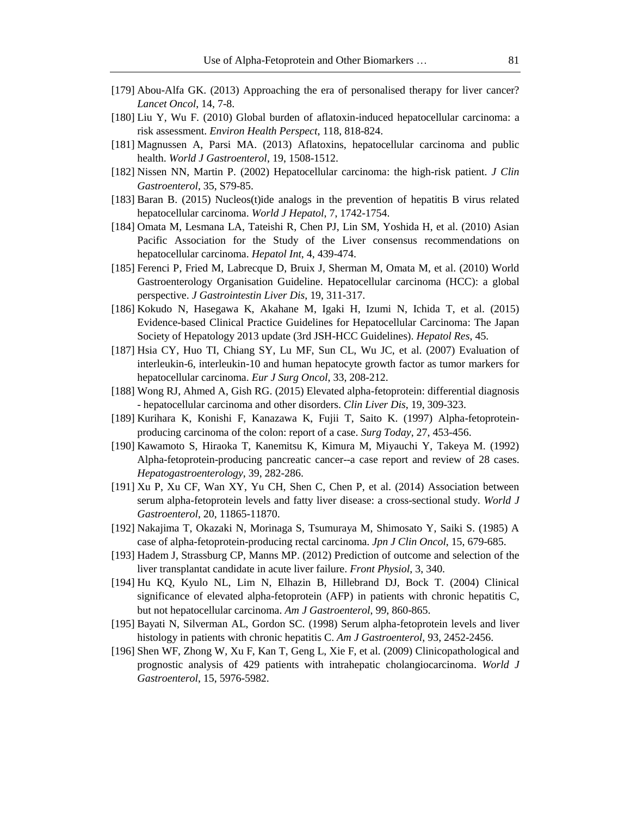- [179] Abou-Alfa GK. (2013) Approaching the era of personalised therapy for liver cancer? *Lancet Oncol*, 14, 7-8.
- [180] Liu Y, Wu F. (2010) Global burden of aflatoxin-induced hepatocellular carcinoma: a risk assessment. *Environ Health Perspect*, 118, 818-824.
- [181] Magnussen A, Parsi MA. (2013) Aflatoxins, hepatocellular carcinoma and public health. *World J Gastroenterol*, 19, 1508-1512.
- [182] Nissen NN, Martin P. (2002) Hepatocellular carcinoma: the high-risk patient. *J Clin Gastroenterol*, 35, S79-85.
- [183] Baran B. (2015) Nucleos(t)ide analogs in the prevention of hepatitis B virus related hepatocellular carcinoma. *World J Hepatol*, 7, 1742-1754.
- [184] Omata M, Lesmana LA, Tateishi R, Chen PJ, Lin SM, Yoshida H, et al. (2010) Asian Pacific Association for the Study of the Liver consensus recommendations on hepatocellular carcinoma. *Hepatol Int*, 4, 439-474.
- [185] Ferenci P, Fried M, Labrecque D, Bruix J, Sherman M, Omata M, et al. (2010) World Gastroenterology Organisation Guideline. Hepatocellular carcinoma (HCC): a global perspective. *J Gastrointestin Liver Dis*, 19, 311-317.
- [186] Kokudo N, Hasegawa K, Akahane M, Igaki H, Izumi N, Ichida T, et al. (2015) Evidence-based Clinical Practice Guidelines for Hepatocellular Carcinoma: The Japan Society of Hepatology 2013 update (3rd JSH-HCC Guidelines). *Hepatol Res*, 45.
- [187] Hsia CY, Huo TI, Chiang SY, Lu MF, Sun CL, Wu JC, et al. (2007) Evaluation of interleukin-6, interleukin-10 and human hepatocyte growth factor as tumor markers for hepatocellular carcinoma. *Eur J Surg Oncol*, 33, 208-212.
- [188] Wong RJ, Ahmed A, Gish RG. (2015) Elevated alpha-fetoprotein: differential diagnosis - hepatocellular carcinoma and other disorders. *Clin Liver Dis*, 19, 309-323.
- [189] Kurihara K, Konishi F, Kanazawa K, Fujii T, Saito K. (1997) Alpha-fetoproteinproducing carcinoma of the colon: report of a case. *Surg Today*, 27, 453-456.
- [190] Kawamoto S, Hiraoka T, Kanemitsu K, Kimura M, Miyauchi Y, Takeya M. (1992) Alpha-fetoprotein-producing pancreatic cancer--a case report and review of 28 cases. *Hepatogastroenterology*, 39, 282-286.
- [191] Xu P, Xu CF, Wan XY, Yu CH, Shen C, Chen P, et al. (2014) Association between serum alpha-fetoprotein levels and fatty liver disease: a cross-sectional study. *World J Gastroenterol*, 20, 11865-11870.
- [192] Nakajima T, Okazaki N, Morinaga S, Tsumuraya M, Shimosato Y, Saiki S. (1985) A case of alpha-fetoprotein-producing rectal carcinoma. *Jpn J Clin Oncol*, 15, 679-685.
- [193] Hadem J, Strassburg CP, Manns MP. (2012) Prediction of outcome and selection of the liver transplantat candidate in acute liver failure. *Front Physiol*, 3, 340.
- [194] Hu KQ, Kyulo NL, Lim N, Elhazin B, Hillebrand DJ, Bock T. (2004) Clinical significance of elevated alpha-fetoprotein (AFP) in patients with chronic hepatitis C, but not hepatocellular carcinoma. *Am J Gastroenterol*, 99, 860-865.
- [195] Bayati N, Silverman AL, Gordon SC. (1998) Serum alpha-fetoprotein levels and liver histology in patients with chronic hepatitis C. *Am J Gastroenterol*, 93, 2452-2456.
- [196] Shen WF, Zhong W, Xu F, Kan T, Geng L, Xie F, et al. (2009) Clinicopathological and prognostic analysis of 429 patients with intrahepatic cholangiocarcinoma. *World J Gastroenterol*, 15, 5976-5982.